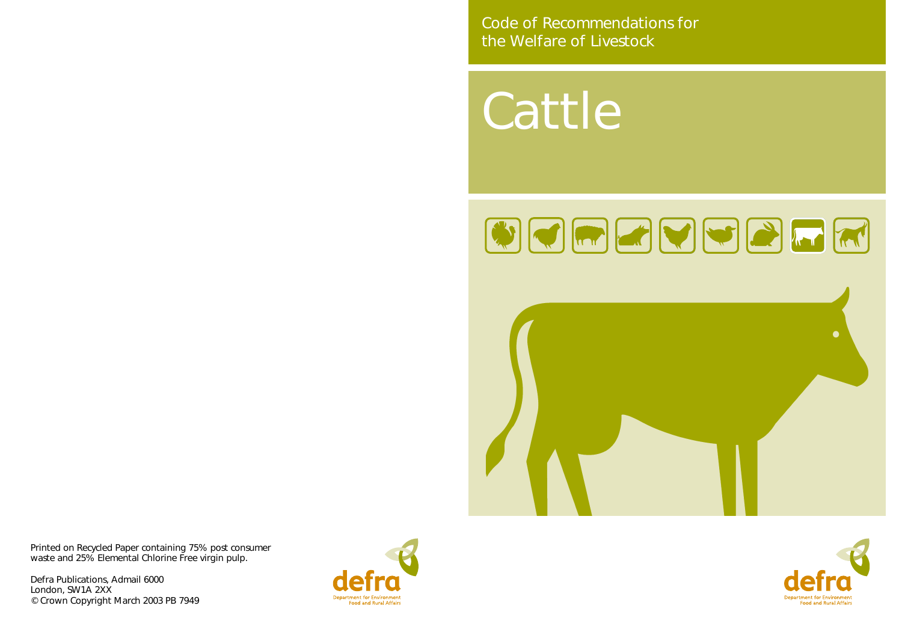Cattle





Code of Recommendations for the Welfare of Livestock

Printed on Recycled Paper containing 75% post consumer waste and 25% Elemental Chlorine Free virgin pulp.

Defra Publications, Admail 6000 London, SW1A 2XX © Crown Copyright March 2003 PB 7949





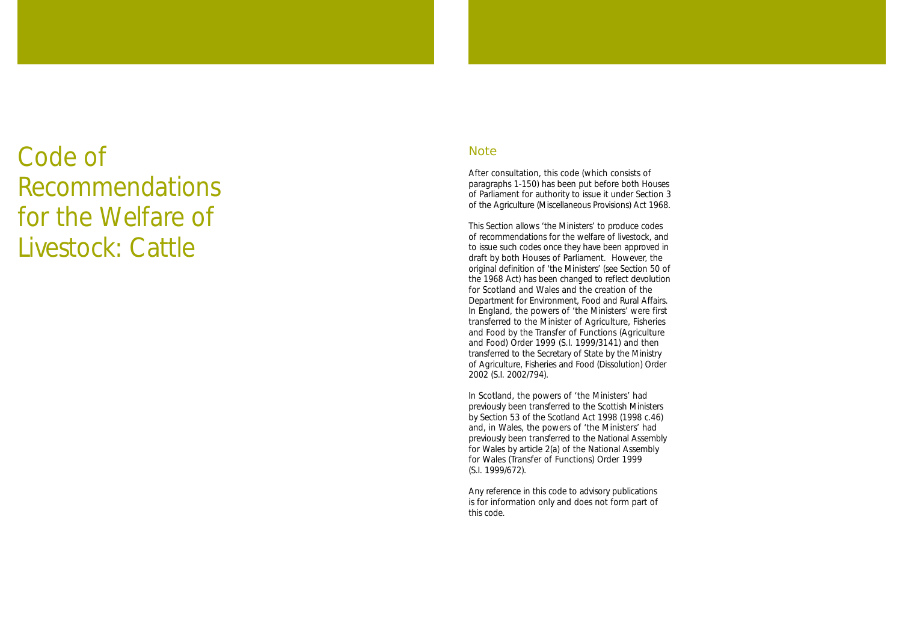# Code of Recommendations for the Welfare of Livestock: Cattle

#### **Note**

After consultation, this code (which consists of paragraphs 1-150) has been put before both Houses of Parliament for authority to issue it under Section 3 of the Agriculture (Miscellaneous Provisions) Act 1968.

This Section allows 'the Ministers' to produce codes of recommendations for the welfare of livestock, and to issue such codes once they have been approved in draft by both Houses of Parliament. However, the original definition of 'the Ministers' (see Section 50 of the 1968 Act) has been changed to reflect devolution for Scotland and Wales and the creation of the Department for Environment, Food and Rural Affairs. In England, the powers of 'the Ministers' were first transferred to the Minister of Agriculture, Fisheries and Food by the Transfer of Functions (Agriculture and Food) Order 1999 (S.I. 1999/3141) and then transferred to the Secretary of State by the Ministry of Agriculture, Fisheries and Food (Dissolution) Order 2002 (S.I. 2002/794).

In Scotland, the powers of 'the Ministers' had previously been transferred to the Scottish Ministers by Section 53 of the Scotland Act 1998 (1998 c.46) and, in Wales, the powers of 'the Ministers' had previously been transferred to the National Assembly for Wales by article 2(a) of the National Assembly for Wales (Transfer of Functions) Order 1999 (S.I. 1999/672).

Any reference in this code to advisory publications is for information only and does not form part of this code.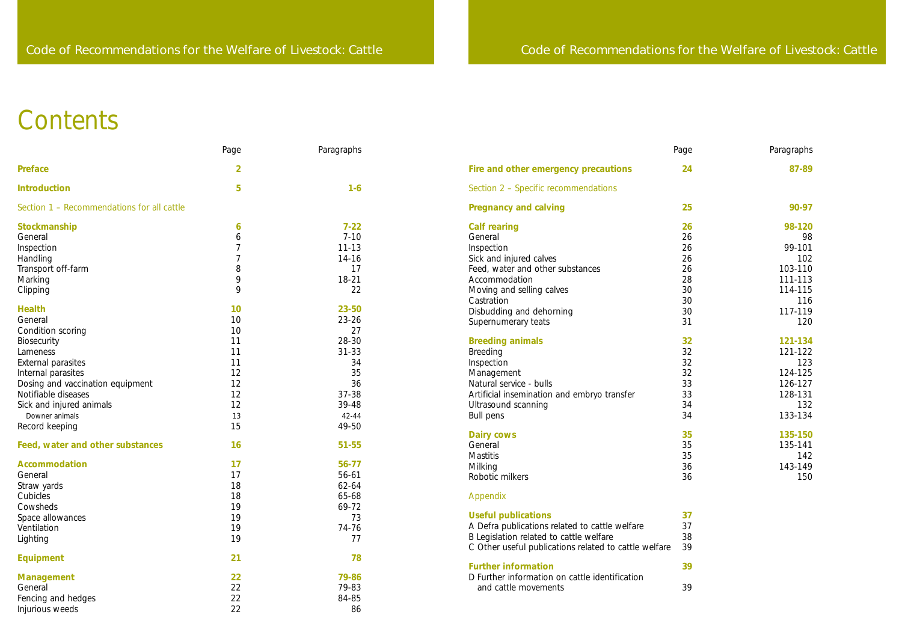| Page                                                     | Paragraphs                                                                              |
|----------------------------------------------------------|-----------------------------------------------------------------------------------------|
| 24                                                       | 87-89                                                                                   |
|                                                          |                                                                                         |
| 25                                                       | 90-97                                                                                   |
| 26<br>26<br>26<br>26<br>26<br>28<br>30<br>30<br>30<br>31 | 98-120<br>98<br>99-101<br>102<br>103-110<br>111-113<br>114-115<br>116<br>117-119<br>120 |
| 32<br>32<br>32<br>32<br>33<br>33<br>34<br>34             | 121-134<br>121-122<br>123<br>124-125<br>126-127<br>128-131<br>132<br>133-134            |
| 35<br>35<br>35<br>36<br>36                               | 135-150<br>135-141<br>142<br>143-149<br>150                                             |

- 
- 
- 
- 
- 

|                                            | Page           | Paragraphs |                                                       | Page | Paragraphs |
|--------------------------------------------|----------------|------------|-------------------------------------------------------|------|------------|
| <b>Preface</b>                             | $\overline{2}$ |            | Fire and other emergency precautions                  | 24   | 87-89      |
| <b>Introduction</b>                        | 5              | $1-6$      | Section 2 - Specific recommendations                  |      |            |
| Section 1 - Recommendations for all cattle |                |            | <b>Pregnancy and calving</b>                          | 25   | 90-97      |
| Stockmanship                               | 6              | $7 - 22$   | <b>Calf rearing</b>                                   | 26   | 98-120     |
| General                                    | 6              | $7 - 10$   | General                                               | 26   | 98         |
| Inspection                                 |                | $11 - 13$  | Inspection                                            | 26   | 99-101     |
| Handling                                   |                | 14-16      | Sick and injured calves                               | 26   | 102        |
| Transport off-farm                         | 8              | 17         | Feed, water and other substances                      | 26   | 103-110    |
| Marking                                    | 9              | 18-21      | Accommodation                                         | 28   | 111-113    |
| Clipping                                   | 9              | 22         | Moving and selling calves                             | 30   | 114-115    |
|                                            |                |            | Castration                                            | 30   | 116        |
| <b>Health</b>                              | 10             | 23-50      | Disbudding and dehorning                              | 30   | 117-119    |
| General                                    | 10             | $23 - 26$  | Supernumerary teats                                   | 31   | 120        |
| Condition scoring                          | 10             | 27         |                                                       |      |            |
| Biosecurity                                | 11             | 28-30      | <b>Breeding animals</b>                               | 32   | 121-134    |
| Lameness                                   | 11             | $31 - 33$  | <b>Breeding</b>                                       | 32   | 121-122    |
| External parasites                         | 11             | 34         | Inspection                                            | 32   | 123        |
| Internal parasites                         | 12             | 35         | Management                                            | 32   | 124-125    |
| Dosing and vaccination equipment           | 12             | 36         | Natural service - bulls                               | 33   | 126-127    |
| Notifiable diseases                        | 12             | 37-38      | Artificial insemination and embryo transfer           | 33   | 128-131    |
| Sick and injured animals                   | 12             | 39-48      | Ultrasound scanning                                   | 34   | 132        |
| Downer animals                             |                | 42-44      | Bull pens                                             | 34   | 133-134    |
|                                            | 13<br>15       | 49-50      |                                                       |      |            |
| Record keeping                             |                |            | <b>Dairy cows</b>                                     | 35   | 135-150    |
| Feed, water and other substances           | 16             | 51-55      | General                                               | 35   | 135-141    |
|                                            |                |            | Mastitis                                              | 35   | 142        |
| <b>Accommodation</b>                       | 17             | 56-77      | Milking                                               | 36   | 143-149    |
| General                                    | 17             | 56-61      | Robotic milkers                                       | 36   | 150        |
| Straw yards                                | 18             | 62-64      |                                                       |      |            |
| Cubicles                                   | 18             | 65-68      | Appendix                                              |      |            |
| Cowsheds                                   | 19             | 69-72      |                                                       |      |            |
| Space allowances                           | 19             | 73         | <b>Useful publications</b>                            | 37   |            |
| Ventilation                                | 19             | 74-76      | A Defra publications related to cattle welfare        | 37   |            |
|                                            |                |            | B Legislation related to cattle welfare               | 38   |            |
| Lighting                                   | 19             | 77         | C Other useful publications related to cattle welfare | 39   |            |
| <b>Equipment</b>                           | 21             | 78         |                                                       |      |            |
|                                            |                |            | <b>Further information</b>                            | 39   |            |
| <b>Management</b>                          | 22             | 79-86      | D Further information on cattle identification        |      |            |
| General                                    | 22             | 79-83      | and cattle movements                                  | 39   |            |
| Fencing and hedges                         | 22             | 84-85      |                                                       |      |            |
| Injurious weeds                            | 22             | 86         |                                                       |      |            |
|                                            |                |            |                                                       |      |            |

# **Contents**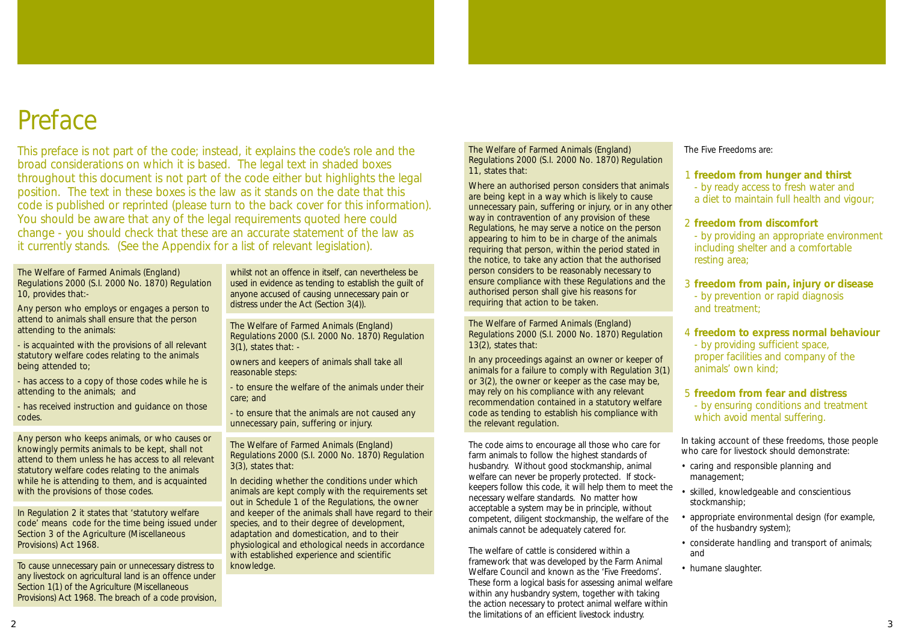The Welfare of Farmed Animals (England) Regulations 2000 (S.I. 2000 No. 1870) Regulation 10, provides that:-

Any person who employs or engages a person to attend to animals shall ensure that the person attending to the animals:

- is acquainted with the provisions of all relevant statutory welfare codes relating to the animals being attended to;

- has access to a copy of those codes while he is attending to the animals; and

- has received instruction and guidance on those codes.

Any person who keeps animals, or who causes or knowingly permits animals to be kept, shall not attend to them unless he has access to all relevant statutory welfare codes relating to the animals while he is attending to them, and is acquainted with the provisions of those codes.

The Welfare of Farmed Animals (England) Regulations 2000 (S.I. 2000 No. 1870) Regulation  $3(1)$ , states that: -

In Regulation 2 it states that 'statutory welfare code' means code for the time being issued under Section 3 of the Agriculture (Miscellaneous Provisions) Act 1968.

To cause unnecessary pain or unnecessary distress to any livestock on agricultural land is an offence under Section 1(1) of the Agriculture (Miscellaneous Provisions) Act 1968. The breach of a code provision, whilst not an offence in itself, can nevertheless be used in evidence as tending to establish the guilt of anyone accused of causing unnecessary pain or distress under the Act (Section 3(4)).

owners and keepers of animals shall take all reasonable steps:

- to ensure the welfare of the animals under their care; and

- to ensure that the animals are not caused any unnecessary pain, suffering or injury.

The Welfare of Farmed Animals (England) Regulations 2000 (S.I. 2000 No. 1870) Regulation 3(3), states that:

In deciding whether the conditions under which animals are kept comply with the requirements set out in Schedule 1 of the Regulations, the owner and keeper of the animals shall have regard to their species, and to their degree of development, adaptation and domestication, and to their physiological and ethological needs in accordance with established experience and scientific knowledge.

# Preface

This preface is not part of the code; instead, it explains the code's role and the broad considerations on which it is based. The legal text in shaded boxes throughout this document is not part of the code either but highlights the legal position. The text in these boxes is the law as it stands on the date that this code is published or reprinted (please turn to the back cover for this information). You should be aware that any of the legal requirements quoted here could change - you should check that these are an accurate statement of the law as it currently stands. (See the Appendix for a list of relevant legislation).

The Welfare of Farmed Animals (England) Regulations 2000 (S.I. 2000 No. 1870) Regulation 11, states that:

Where an authorised person considers that animals are being kept in a way which is likely to cause unnecessary pain, suffering or injury, or in any other way in contravention of any provision of these Regulations, he may serve a notice on the person appearing to him to be in charge of the animals requiring that person, within the period stated in the notice, to take any action that the authorised person considers to be reasonably necessary to ensure compliance with these Regulations and the authorised person shall give his reasons for requiring that action to be taken.

The Welfare of Farmed Animals (England) Regulations 2000 (S.I. 2000 No. 1870) Regulation 13(2), states that:

In any proceedings against an owner or keeper of animals for a failure to comply with Regulation 3(1) or 3(2), the owner or keeper as the case may be, may rely on his compliance with any relevant recommendation contained in a statutory welfare code as tending to establish his compliance with the relevant regulation.

The welfare of cattle is considered within a framework that was developed by the Farm Animal Welfare Council and known as the 'Five Freedoms'. These form a logical basis for assessing animal welfare within any husbandry system, together with taking the action necessary to protect animal welfare within the limitations of an efficient livestock industry.

The Five Freedoms are:

The code aims to encourage all those who care for farm animals to follow the highest standards of husbandry. Without good stockmanship, animal welfare can never be properly protected. If stockkeepers follow this code, it will help them to meet the necessary welfare standards. No matter how acceptable a system may be in principle, without competent, diligent stockmanship, the welfare of the animals cannot be adequately catered for. In taking account of these freedoms, those people who care for livestock should demonstrate: • caring and responsible planning and management; • skilled, knowledgeable and conscientious stockmanship; • appropriate environmental design (for example, of the husbandry system);

- 1 **freedom from hunger and thirst** - by ready access to fresh water and a diet to maintain full health and vigour;
- 2 **freedom from discomfort** - by providing an appropriate environment including shelter and a comfortable resting area;
- 3 **freedom from pain, injury or disease** - by prevention or rapid diagnosis and treatment;
- 4 **freedom to express normal behaviour** - by providing sufficient space, proper facilities and company of the animals' own kind;
- 5 **freedom from fear and distress** - by ensuring conditions and treatment which avoid mental suffering.
- 
- 
- 
- considerate handling and transport of animals; and
- humane slaughter.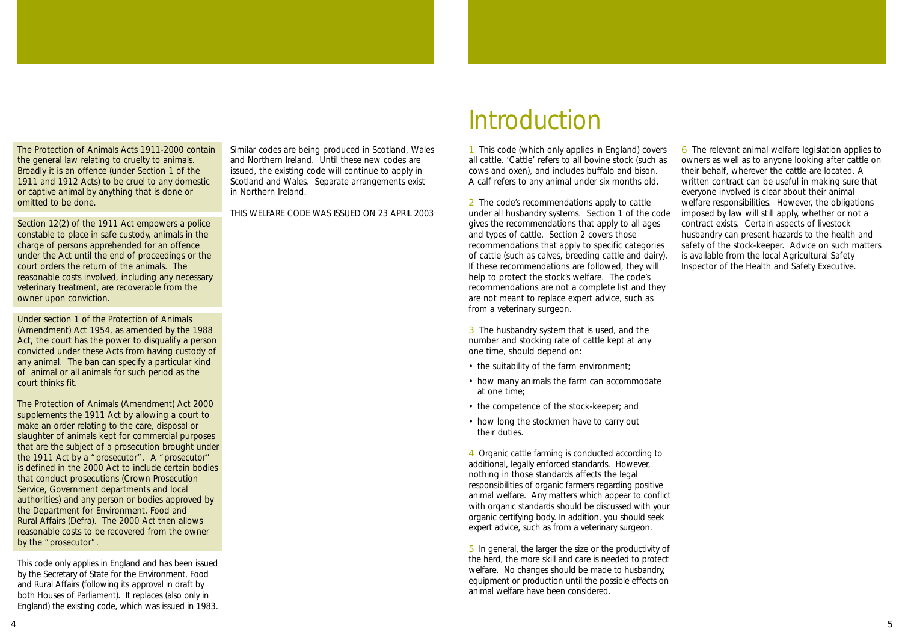1 This code (which only applies in England) covers all cattle. 'Cattle' refers to all bovine stock (such as cows and oxen), and includes buffalo and bison. A calf refers to any animal under six months old.

2 The code's recommendations apply to cattle under all husbandry systems. Section 1 of the code gives the recommendations that apply to all ages and types of cattle. Section 2 covers those recommendations that apply to specific categories of cattle (such as calves, breeding cattle and dairy). If these recommendations are followed, they will help to protect the stock's welfare. The code's recommendations are not a complete list and they are not meant to replace expert advice, such as from a veterinary surgeon.

3 The husbandry system that is used, and the number and stocking rate of cattle kept at any one time, should depend on:

- the suitability of the farm environment;
- how many animals the farm can accommodate at one time;
- the competence of the stock-keeper; and
- how long the stockmen have to carry out their duties.

4 Organic cattle farming is conducted according to additional, legally enforced standards. However, nothing in those standards affects the legal responsibilities of organic farmers regarding positive animal welfare. Any matters which appear to conflict with organic standards should be discussed with your organic certifying body. In addition, you should seek expert advice, such as from a veterinary surgeon.

5 In general, the larger the size or the productivity of the herd, the more skill and care is needed to protect welfare. No changes should be made to husbandry, equipment or production until the possible effects on animal welfare have been considered.

6 The relevant animal welfare legislation applies to owners as well as to anyone looking after cattle on their behalf, wherever the cattle are located. A written contract can be useful in making sure that everyone involved is clear about their animal welfare responsibilities. However, the obligations imposed by law will still apply, whether or not a contract exists. Certain aspects of livestock husbandry can present hazards to the health and safety of the stock-keeper. Advice on such matters is available from the local Agricultural Safety Inspector of the Health and Safety Executive.

# Introduction

The Protection of Animals Acts 1911-2000 contain the general law relating to cruelty to animals. Broadly it is an offence (under Section 1 of the 1911 and 1912 Acts) to be cruel to any domestic or captive animal by anything that is done or omitted to be done.

Section 12(2) of the 1911 Act empowers a police constable to place in safe custody, animals in the charge of persons apprehended for an offence under the Act until the end of proceedings or the court orders the return of the animals. The reasonable costs involved, including any necessary veterinary treatment, are recoverable from the owner upon conviction.

Under section 1 of the Protection of Animals (Amendment) Act 1954, as amended by the 1988 Act, the court has the power to disqualify a person convicted under these Acts from having custody of any animal. The ban can specify a particular kind of animal or all animals for such period as the court thinks fit.

The Protection of Animals (Amendment) Act 2000 supplements the 1911 Act by allowing a court to make an order relating to the care, disposal or slaughter of animals kept for commercial purposes that are the subject of a prosecution brought under the 1911 Act by a "prosecutor". A "prosecutor" is defined in the 2000 Act to include certain bodies that conduct prosecutions (Crown Prosecution Service, Government departments and local authorities) and any person or bodies approved by the Department for Environment, Food and Rural Affairs (Defra). The 2000 Act then allows reasonable costs to be recovered from the owner by the "prosecutor".

This code only applies in England and has been issued by the Secretary of State for the Environment, Food and Rural Affairs (following its approval in draft by both Houses of Parliament). It replaces (also only in England) the existing code, which was issued in 1983.

Similar codes are being produced in Scotland, Wales and Northern Ireland. Until these new codes are issued, the existing code will continue to apply in Scotland and Wales. Separate arrangements exist in Northern Ireland.

THIS WELFARE CODE WAS ISSUED ON 23 APRIL 2003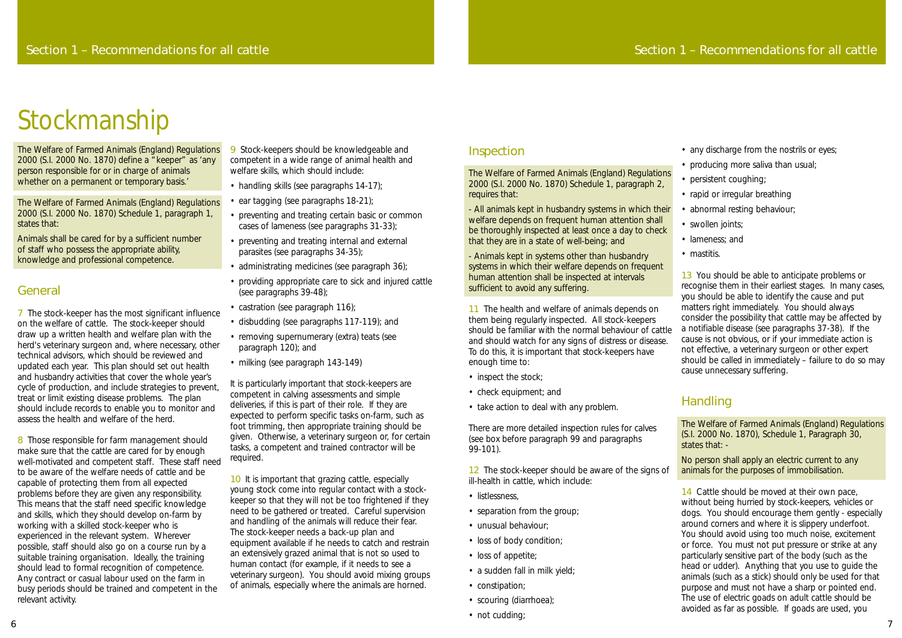### Inspection

The Welfare of Farmed Animals (England) Regulations 2000 (S.I. 2000 No. 1870) Schedule 1, paragraph 2, requires that:

- All animals kept in husbandry systems in which their welfare depends on frequent human attention shall be thoroughly inspected at least once a day to check that they are in a state of well-being; and

- Animals kept in systems other than husbandry systems in which their welfare depends on frequent

12 The stock-keeper should be aware of the signs of ill-health in cattle, which include:

- listlessness,
- separation from the group;
- unusual behaviour;
- loss of body condition;
- loss of appetite;
- a sudden fall in milk yield;
- constipation;
- scouring (diarrhoea);
- not cudding;
- any discharge from the nostrils or eyes;
- producing more saliva than usual;
- persistent coughing;
- rapid or irregular breathing
- abnormal resting behaviour;
- swollen joints;
- lameness; and
- mastitis.

- inspect the stock;
- check equipment; and
- take action to deal with any problem.

There are more detailed inspection rules for calves (see box before paragraph 99 and paragraphs 99-101).

human attention shall be inspected at intervals sufficient to avoid any suffering. 11 The health and welfare of animals depends on them being regularly inspected. All stock-keepers should be familiar with the normal behaviour of cattle and should watch for any signs of distress or disease. To do this, it is important that stock-keepers have enough time to: 13 You should be able to anticipate problems or recognise them in their earliest stages. In many cases, you should be able to identify the cause and put matters right immediately. You should always consider the possibility that cattle may be affected by a notifiable disease (see paragraphs 37-38). If the cause is not obvious, or if your immediate action is not effective, a veterinary surgeon or other expert should be called in immediately – failure to do so may cause unnecessary suffering.

> 14 Cattle should be moved at their own pace, without being hurried by stock-keepers, vehicles or dogs. You should encourage them gently - especially around corners and where it is slippery underfoot. You should avoid using too much noise, excitement or force. You must not put pressure or strike at any particularly sensitive part of the body (such as the head or udder). Anything that you use to guide the animals (such as a stick) should only be used for that purpose and must not have a sharp or pointed end. The use of electric goads on adult cattle should be avoided as far as possible. If goads are used, you

The Welfare of Farmed Animals (England) Regulations 2000 (S.I. 2000 No. 1870) define a "keeper" as 'any person responsible for or in charge of animals whether on a permanent or temporary basis.'

# Handling

The Welfare of Farmed Animals (England) Regulations (S.I. 2000 No. 1870), Schedule 1, Paragraph 30, states that: -

No person shall apply an electric current to any animals for the purposes of immobilisation.

8 Those responsible for farm management should make sure that the cattle are cared for by enough well-motivated and competent staff. These staff need to be aware of the welfare needs of cattle and be capable of protecting them from all expected problems before they are given any responsibility. This means that the staff need specific knowledge and skills, which they should develop on-farm by working with a skilled stock-keeper who is experienced in the relevant system. Wherever possible, staff should also go on a course run by a suitable training organisation. Ideally, the training should lead to formal recognition of competence. Any contract or casual labour used on the farm in busy periods should be trained and competent in the relevant activity.

9 Stock-keepers should be knowledgeable and competent in a wide range of animal health and welfare skills, which should include:

- handling skills (see paragraphs 14-17);
- ear tagging (see paragraphs 18-21);
- preventing and treating certain basic or common cases of lameness (see paragraphs 31-33);
- preventing and treating internal and external parasites (see paragraphs 34-35);
- administrating medicines (see paragraph 36);
- providing appropriate care to sick and injured cattle (see paragraphs 39-48);
- castration (see paragraph 116);
- disbudding (see paragraphs 117-119); and
- removing supernumerary (extra) teats (see paragraph 120); and
- milking (see paragraph 143-149)

It is particularly important that stock-keepers are competent in calving assessments and simple deliveries, if this is part of their role. If they are expected to perform specific tasks on-farm, such as foot trimming, then appropriate training should be given. Otherwise, a veterinary surgeon or, for certain tasks, a competent and trained contractor will be required.

The Welfare of Farmed Animals (England) Regulations 2000 (S.I. 2000 No. 1870) Schedule 1, paragraph 1, states that:

> 10 It is important that grazing cattle, especially young stock come into regular contact with a stockkeeper so that they will not be too frightened if they need to be gathered or treated. Careful supervision and handling of the animals will reduce their fear. The stock-keeper needs a back-up plan and equipment available if he needs to catch and restrain an extensively grazed animal that is not so used to human contact (for example, if it needs to see a veterinary surgeon). You should avoid mixing groups of animals, especially where the animals are horned.

Animals shall be cared for by a sufficient number of staff who possess the appropriate ability, knowledge and professional competence.

### General

7 The stock-keeper has the most significant influence on the welfare of cattle. The stock-keeper should draw up a written health and welfare plan with the herd's veterinary surgeon and, where necessary, other technical advisors, which should be reviewed and updated each year. This plan should set out health and husbandry activities that cover the whole year's cycle of production, and include strategies to prevent, treat or limit existing disease problems. The plan should include records to enable you to monitor and assess the health and welfare of the herd.

# Stockmanship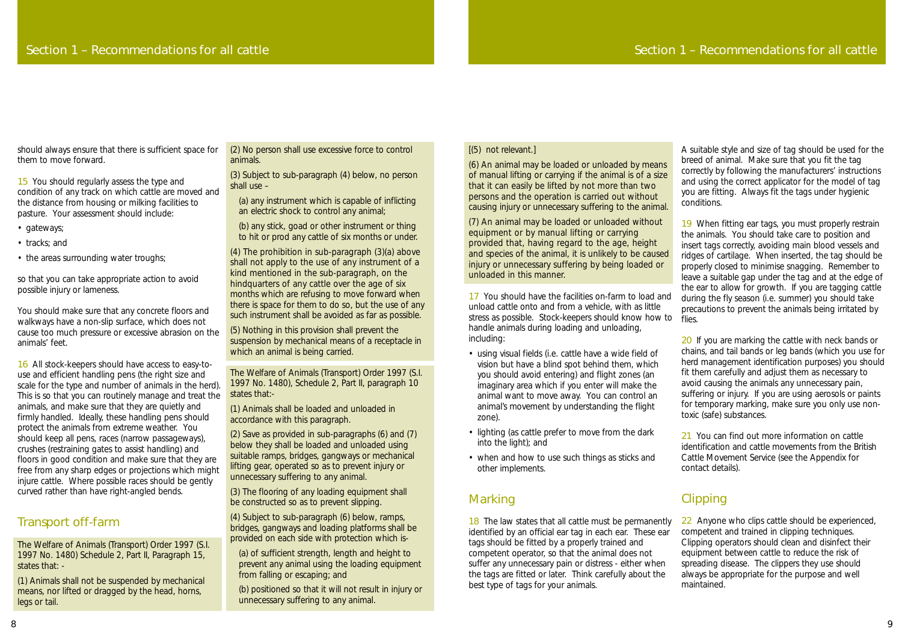#### [(5) not relevant.]

(6) An animal may be loaded or unloaded by means of manual lifting or carrying if the animal is of a size that it can easily be lifted by not more than two persons and the operation is carried out without causing injury or unnecessary suffering to the animal.

17 You should have the facilities on-farm to load and unload cattle onto and from a vehicle, with as little stress as possible. Stock-keepers should know how to handle animals during loading and unloading, including:

(7) An animal may be loaded or unloaded without equipment or by manual lifting or carrying provided that, having regard to the age, height and species of the animal, it is unlikely to be caused injury or unnecessary suffering by being loaded or unloaded in this manner.

- using visual fields (i.e. cattle have a wide field of vision but have a blind spot behind them, which you should avoid entering) and flight zones (an imaginary area which if you enter will make the animal want to move away. You can control an animal's movement by understanding the flight zone).
- lighting (as cattle prefer to move from the dark into the light); and
- when and how to use such things as sticks and other implements.

### **Marking**

19 When fitting ear tags, you must properly restrain the animals. You should take care to position and insert tags correctly, avoiding main blood vessels and ridges of cartilage. When inserted, the tag should be properly closed to minimise snagging. Remember to leave a suitable gap under the tag and at the edge of the ear to allow for growth. If you are tagging cattle during the fly season (i.e. summer) you should take precautions to prevent the animals being irritated by flies.

20 If you are marking the cattle with neck bands or chains, and tail bands or leg bands (which you use for herd management identification purposes) you should fit them carefully and adjust them as necessary to avoid causing the animals any unnecessary pain, suffering or injury. If you are using aerosols or paints for temporary marking, make sure you only use nontoxic (safe) substances.

21 You can find out more information on cattle identification and cattle movements from the British Cattle Movement Service (see the Appendix for contact details).

18 The law states that all cattle must be permanently identified by an official ear tag in each ear. These ear tags should be fitted by a properly trained and competent operator, so that the animal does not suffer any unnecessary pain or distress - either when the tags are fitted or later. Think carefully about the best type of tags for your animals. 22 Anyone who clips cattle should be experienced, competent and trained in clipping techniques. Clipping operators should clean and disinfect their equipment between cattle to reduce the risk of spreading disease. The clippers they use should always be appropriate for the purpose and well maintained.

A suitable style and size of tag should be used for the breed of animal. Make sure that you fit the tag correctly by following the manufacturers' instructions and using the correct applicator for the model of tag you are fitting. Always fit the tags under hygienic conditions.

15 You should regularly assess the type and condition of any track on which cattle are moved and the distance from housing or milking facilities to pasture. Your assessment should include:

- gateways;
- tracks; and
- the areas surrounding water troughs;

# Clipping

should always ensure that there is sufficient space for them to move forward.

so that you can take appropriate action to avoid possible injury or lameness.

You should make sure that any concrete floors and walkways have a non-slip surface, which does not cause too much pressure or excessive abrasion on the animals' feet.

16 All stock-keepers should have access to easy-touse and efficient handling pens (the right size and scale for the type and number of animals in the herd). This is so that you can routinely manage and treat the animals, and make sure that they are quietly and firmly handled. Ideally, these handling pens should protect the animals from extreme weather. You should keep all pens, races (narrow passageways), crushes (restraining gates to assist handling) and floors in good condition and make sure that they are free from any sharp edges or projections which might injure cattle. Where possible races should be gently curved rather than have right-angled bends.

### Transport off-farm

The Welfare of Animals (Transport) Order 1997 (S.I. 1997 No. 1480) Schedule 2, Part II, Paragraph 15, states that: -

(1) Animals shall not be suspended by mechanical means, nor lifted or dragged by the head, horns, legs or tail.

(2) No person shall use excessive force to control animals.

(3) Subject to sub-paragraph (4) below, no person shall use –

(a) any instrument which is capable of inflicting an electric shock to control any animal;

(b) any stick, goad or other instrument or thing to hit or prod any cattle of six months or under.

(4) The prohibition in sub-paragraph (3)(a) above shall not apply to the use of any instrument of a kind mentioned in the sub-paragraph, on the hindquarters of any cattle over the age of six months which are refusing to move forward when there is space for them to do so, but the use of any such instrument shall be avoided as far as possible.

(5) Nothing in this provision shall prevent the suspension by mechanical means of a receptacle in which an animal is being carried.

The Welfare of Animals (Transport) Order 1997 (S.I. 1997 No. 1480), Schedule 2, Part II, paragraph 10 states that:-

(1) Animals shall be loaded and unloaded in accordance with this paragraph.

(2) Save as provided in sub-paragraphs (6) and (7) below they shall be loaded and unloaded using suitable ramps, bridges, gangways or mechanical lifting gear, operated so as to prevent injury or unnecessary suffering to any animal.

(3) The flooring of any loading equipment shall be constructed so as to prevent slipping.

(4) Subject to sub-paragraph (6) below, ramps, bridges, gangways and loading platforms shall be provided on each side with protection which is-

(a) of sufficient strength, length and height to prevent any animal using the loading equipment from falling or escaping; and

(b) positioned so that it will not result in injury or unnecessary suffering to any animal.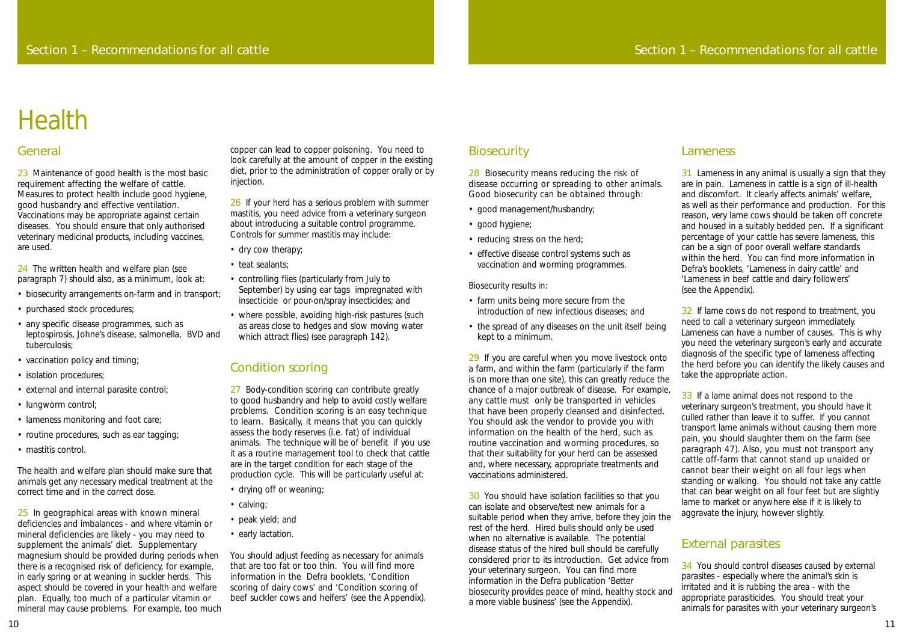28 Biosecurity means reducing the risk of disease occurring or spreading to other animals. Good biosecurity can be obtained through:

- good management/husbandry;
- good hygiene;
- reducing stress on the herd;
- effective disease control systems such as vaccination and worming programmes.

Biosecurity results in:

- farm units being more secure from the introduction of new infectious diseases; and
- the spread of any diseases on the unit itself being kept to a minimum.

29 If you are careful when you move livestock onto a farm, and within the farm (particularly if the farm is on more than one site), this can greatly reduce the chance of a major outbreak of disease. For example, any cattle must only be transported in vehicles that have been properly cleansed and disinfected. You should ask the vendor to provide you with information on the health of the herd, such as routine vaccination and worming procedures, so that their suitability for your herd can be assessed and, where necessary, appropriate treatments and vaccinations administered.

31 Lameness in any animal is usually a sign that they are in pain. Lameness in cattle is a sign of ill-health and discomfort. It clearly affects animals' welfare, as well as their performance and production. For this reason, very lame cows should be taken off concrete and housed in a suitably bedded pen. If a significant percentage of your cattle has severe lameness, this can be a sign of poor overall welfare standards within the herd. You can find more information in Defra's booklets, 'Lameness in dairy cattle' and 'Lameness in beef cattle and dairy followers' (see the Appendix).

32 If lame cows do not respond to treatment, you need to call a veterinary surgeon immediately. Lameness can have a number of causes. This is why you need the veterinary surgeon's early and accurate diagnosis of the specific type of lameness affecting the herd before you can identify the likely causes and take the appropriate action.

33 If a lame animal does not respond to the veterinary surgeon's treatment, you should have it culled rather than leave it to suffer. If you cannot transport lame animals without causing them more pain, you should slaughter them on the farm (see paragraph 47). Also, you must not transport any cattle off-farm that cannot stand up unaided or cannot bear their weight on all four legs when standing or walking. You should not take any cattle that can bear weight on all four feet but are slightly

### Lameness

23 Maintenance of good health is the most basic requirement affecting the welfare of cattle. Measures to protect health include good hygiene, good husbandry and effective ventilation. Vaccinations may be appropriate against certain diseases. You should ensure that only authorised veterinary medicinal products, including vaccines, are used.

24 The written health and welfare plan (see paragraph 7) should also, as a minimum, look at:

- biosecurity arrangements on-farm and in transport;
- purchased stock procedures;
- any specific disease programmes, such as leptospirosis, Johne's disease, salmonella, BVD and tuberculosis;
- vaccination policy and timing;
- isolation procedures;
- external and internal parasite control;
- lungworm control;
- lameness monitoring and foot care;
- routine procedures, such as ear tagging;
- mastitis control.

30 You should have isolation facilities so that you can isolate and observe/test new animals for a suitable period when they arrive, before they join the rest of the herd. Hired bulls should only be used when no alternative is available. The potential disease status of the hired bull should be carefully considered prior to its introduction. Get advice from your veterinary surgeon. You can find more information in the Defra publication 'Better biosecurity provides peace of mind, healthy stock and a more viable business' (see the Appendix). lame to market or anywhere else if it is likely to aggravate the injury, however slightly. External parasites 34 You should control diseases caused by external parasites - especially where the animal's skin is irritated and it is rubbing the area - with the appropriate parasiticides. You should treat your animals for parasites with your veterinary surgeon's

25 In geographical areas with known mineral deficiencies and imbalances - and where vitamin or mineral deficiencies are likely - you may need to supplement the animals' diet. Supplementary magnesium should be provided during periods when there is a recognised risk of deficiency, for example, in early spring or at weaning in suckler herds. This aspect should be covered in your health and welfare plan. Equally, too much of a particular vitamin or mineral may cause problems. For example, too much

26 If your herd has a serious problem with summer mastitis, you need advice from a veterinary surgeon about introducing a suitable control programme. Controls for summer mastitis may include:

- dry cow therapy;
- teat sealants;
- controlling flies (particularly from July to September) by using ear tags impregnated with insecticide or pour-on/spray insecticides; and
- where possible, avoiding high-risk pastures (such as areas close to hedges and slow moving water which attract flies) (see paragraph 142).

27 Body-condition scoring can contribute greatly to good husbandry and help to avoid costly welfare problems. Condition scoring is an easy technique to learn. Basically, it means that you can quickly assess the body reserves (i.e. fat) of individual animals. The technique will be of benefit if you use it as a routine management tool to check that cattle are in the target condition for each stage of the production cycle. This will be particularly useful at:

# General

The health and welfare plan should make sure that animals get any necessary medical treatment at the correct time and in the correct dose.

copper can lead to copper poisoning. You need to look carefully at the amount of copper in the existing diet, prior to the administration of copper orally or by injection.

# Condition scoring

- drying off or weaning;
- calving;
- peak yield; and
- early lactation.

You should adjust feeding as necessary for animals that are too fat or too thin. You will find more information in the Defra booklets, 'Condition scoring of dairy cows' and 'Condition scoring of beef suckler cows and heifers' (see the Appendix).

# **Biosecurity**

# **Health**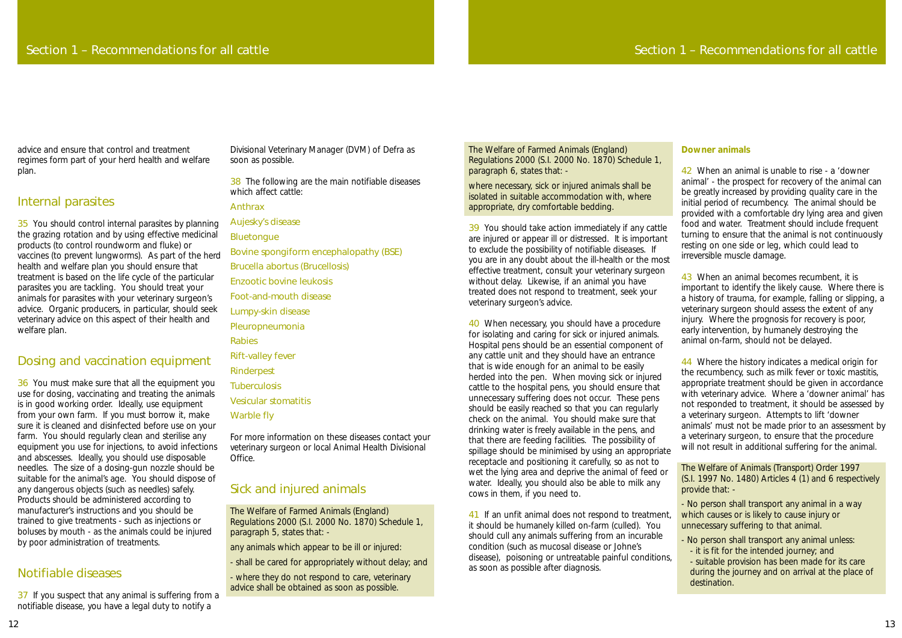advice and ensure that control and treatment regimes form part of your herd health and welfare plan.

# Internal parasites

35 You should control internal parasites by planning the grazing rotation and by using effective medicinal products (to control roundworm and fluke) or vaccines (to prevent lungworms). As part of the herd health and welfare plan you should ensure that treatment is based on the life cycle of the particular parasites you are tackling. You should treat your animals for parasites with your veterinary surgeon's advice. Organic producers, in particular, should seek veterinary advice on this aspect of their health and welfare plan.

# Dosing and vaccination equipment

37 If you suspect that any animal is suffering from a notifiable disease, you have a legal duty to notify a

36 You must make sure that all the equipment you use for dosing, vaccinating and treating the animals is in good working order. Ideally, use equipment from your own farm. If you must borrow it, make sure it is cleaned and disinfected before use on your farm. You should regularly clean and sterilise any equipment you use for injections, to avoid infections and abscesses. Ideally, you should use disposable needles. The size of a dosing-gun nozzle should be suitable for the animal's age. You should dispose of any dangerous objects (such as needles) safely. Products should be administered according to manufacturer's instructions and you should be trained to give treatments - such as injections or boluses by mouth - as the animals could be injured by poor administration of treatments.

# Notifiable diseases

Divisional Veterinary Manager (DVM) of Defra as soon as possible.

38 The following are the main notifiable diseases which affect cattle:

Anthrax

Aujesky's disease

**Bluetonque** 

Bovine spongiform encephalopathy (BSE) Brucella abortus (Brucellosis)

Enzootic bovine leukosis

Foot-and-mouth disease

Lumpy-skin disease

Pleuropneumonia

Rabies

Rift-valley fever

Rinderpest

**Tuberculosis** 

Vesicular stomatitis

Warble fly

For more information on these diseases contact your veterinary surgeon or local Animal Health Divisional Office.

> 41 If an unfit animal does not respond to treatment, it should be humanely killed on-farm (culled). You should cull any animals suffering from an incurable condition (such as mucosal disease or Johne's disease), poisoning or untreatable painful conditions, as soon as possible after diagnosis.

# Sick and injured animals

The Welfare of Farmed Animals (England) Regulations 2000 (S.I. 2000 No. 1870) Schedule 1, paragraph 5, states that: -

any animals which appear to be ill or injured:

- shall be cared for appropriately without delay; and

- where they do not respond to care, veterinary advice shall be obtained as soon as possible.

43 When an animal becomes recumbent, it is important to identify the likely cause. Where there is a history of trauma, for example, falling or slipping, a veterinary surgeon should assess the extent of any injury. Where the prognosis for recovery is poor, early intervention, by humanely destroying the animal on-farm, should not be delayed.

The Welfare of Farmed Animals (England) Regulations 2000 (S.I. 2000 No. 1870) Schedule 1, paragraph 6, states that: -

where necessary, sick or injured animals shall be isolated in suitable accommodation with, where appropriate, dry comfortable bedding.

> 44 Where the history indicates a medical origin for the recumbency, such as milk fever or toxic mastitis, appropriate treatment should be given in accordance with veterinary advice. Where a 'downer animal' has not responded to treatment, it should be assessed by a veterinary surgeon. Attempts to lift 'downer animals' must not be made prior to an assessment by a veterinary surgeon, to ensure that the procedure will not result in additional suffering for the animal.

39 You should take action immediately if any cattle are injured or appear ill or distressed. It is important to exclude the possibility of notifiable diseases. If you are in any doubt about the ill-health or the most effective treatment, consult your veterinary surgeon without delay. Likewise, if an animal you have treated does not respond to treatment, seek your veterinary surgeon's advice.

40 When necessary, you should have a procedure for isolating and caring for sick or injured animals. Hospital pens should be an essential component of any cattle unit and they should have an entrance that is wide enough for an animal to be easily herded into the pen. When moving sick or injured cattle to the hospital pens, you should ensure that unnecessary suffering does not occur. These pens should be easily reached so that you can regularly check on the animal. You should make sure that drinking water is freely available in the pens, and that there are feeding facilities. The possibility of spillage should be minimised by using an appropriate receptacle and positioning it carefully, so as not to wet the lying area and deprive the animal of feed or water. Ideally, you should also be able to milk any cows in them, if you need to.

#### **Downer animals**

42 When an animal is unable to rise - a 'downer animal' - the prospect for recovery of the animal can be greatly increased by providing quality care in the initial period of recumbency. The animal should be provided with a comfortable dry lying area and given food and water. Treatment should include frequent turning to ensure that the animal is not continuously resting on one side or leg, which could lead to irreversible muscle damage.

The Welfare of Animals (Transport) Order 1997 (S.I. 1997 No. 1480) Articles 4 (1) and 6 respectively provide that: -

- No person shall transport any animal in a way which causes or is likely to cause injury or unnecessary suffering to that animal.

- No person shall transport any animal unless: - it is fit for the intended journey; and - suitable provision has been made for its care during the journey and on arrival at the place of destination.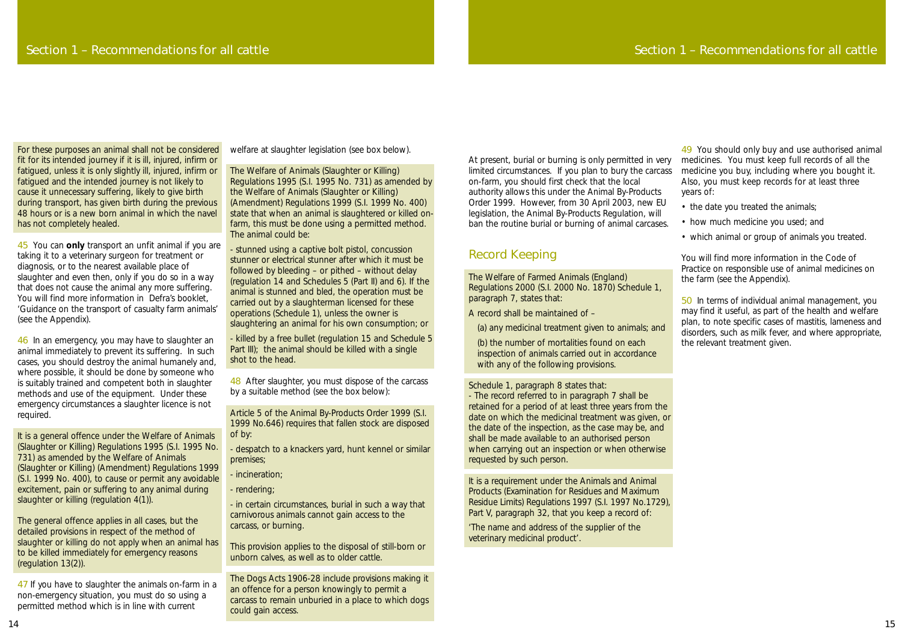At present, burial or burning is only permitted in very limited circumstances. If you plan to bury the carcass on-farm, you should first check that the local authority allows this under the Animal By-Products Order 1999. However, from 30 April 2003, new EU legislation, the Animal By-Products Regulation, will ban the routine burial or burning of animal carcases.

(b) the number of mortalities found on each inspection of animals carried out in accordance with any of the following provisions.

# Record Keeping

The Welfare of Farmed Animals (England) Regulations 2000 (S.I. 2000 No. 1870) Schedule 1, paragraph 7, states that:

A record shall be maintained of –

(a) any medicinal treatment given to animals; and

Schedule 1, paragraph 8 states that:

- The record referred to in paragraph 7 shall be retained for a period of at least three years from the date on which the medicinal treatment was given, or the date of the inspection, as the case may be, and shall be made available to an authorised person when carrying out an inspection or when otherwise requested by such person.

It is a requirement under the Animals and Animal Products (Examination for Residues and Maximum Residue Limits) Regulations 1997 (S.I. 1997 No.1729), Part V, paragraph 32, that you keep a record of:

'The name and address of the supplier of the veterinary medicinal product'.

49 You should only buy and use authorised animal medicines. You must keep full records of all the medicine you buy, including where you bought it. Also, you must keep records for at least three years of:

- the date you treated the animals;
- how much medicine you used; and
- which animal or group of animals you treated.

You will find more information in the Code of Practice on responsible use of animal medicines on the farm (see the Appendix).

50 In terms of individual animal management, you may find it useful, as part of the health and welfare plan, to note specific cases of mastitis, lameness and disorders, such as milk fever, and where appropriate, the relevant treatment given.

47 If you have to slaughter the animals on-farm in a non-emergency situation, you must do so using a permitted method which is in line with current

For these purposes an animal shall not be considered fit for its intended journey if it is ill, injured, infirm or fatigued, unless it is only slightly ill, injured, infirm or fatigued and the intended journey is not likely to cause it unnecessary suffering, likely to give birth during transport, has given birth during the previous 48 hours or is a new born animal in which the navel has not completely healed.

> 48 After slaughter, you must dispose of the carcass by a suitable method (see the box below):

45 You can **only** transport an unfit animal if you are taking it to a veterinary surgeon for treatment or diagnosis, or to the nearest available place of slaughter and even then, only if you do so in a way that does not cause the animal any more suffering. You will find more information in Defra's booklet, 'Guidance on the transport of casualty farm animals' (see the Appendix).

46 In an emergency, you may have to slaughter an animal immediately to prevent its suffering. In such cases, you should destroy the animal humanely and, where possible, it should be done by someone who is suitably trained and competent both in slaughter methods and use of the equipment. Under these emergency circumstances a slaughter licence is not required.

It is a general offence under the Welfare of Animals (Slaughter or Killing) Regulations 1995 (S.I. 1995 No. 731) as amended by the Welfare of Animals (Slaughter or Killing) (Amendment) Regulations 1999 (S.I. 1999 No. 400), to cause or permit any avoidable excitement, pain or suffering to any animal during slaughter or killing (regulation 4(1)).

The general offence applies in all cases, but the detailed provisions in respect of the method of slaughter or killing do not apply when an animal has to be killed immediately for emergency reasons (regulation 13(2)).

welfare at slaughter legislation (see box below).

The Welfare of Animals (Slaughter or Killing) Regulations 1995 (S.I. 1995 No. 731) as amended by the Welfare of Animals (Slaughter or Killing) (Amendment) Regulations 1999 (S.I. 1999 No. 400) state that when an animal is slaughtered or killed onfarm, this must be done using a permitted method. The animal could be:

- stunned using a captive bolt pistol, concussion stunner or electrical stunner after which it must be followed by bleeding – or pithed – without delay (regulation 14 and Schedules 5 (Part II) and 6). If the animal is stunned and bled, the operation must be carried out by a slaughterman licensed for these operations (Schedule 1), unless the owner is slaughtering an animal for his own consumption; or

- killed by a free bullet (regulation 15 and Schedule 5 Part III); the animal should be killed with a single shot to the head.

Article 5 of the Animal By-Products Order 1999 (S.I. 1999 No.646) requires that fallen stock are disposed of by:

- despatch to a knackers yard, hunt kennel or similar premises;

- incineration;

- rendering;

- in certain circumstances, burial in such a way that carnivorous animals cannot gain access to the carcass, or burning.

This provision applies to the disposal of still-born or unborn calves, as well as to older cattle.

The Dogs Acts 1906-28 include provisions making it an offence for a person knowingly to permit a carcass to remain unburied in a place to which dogs could gain access.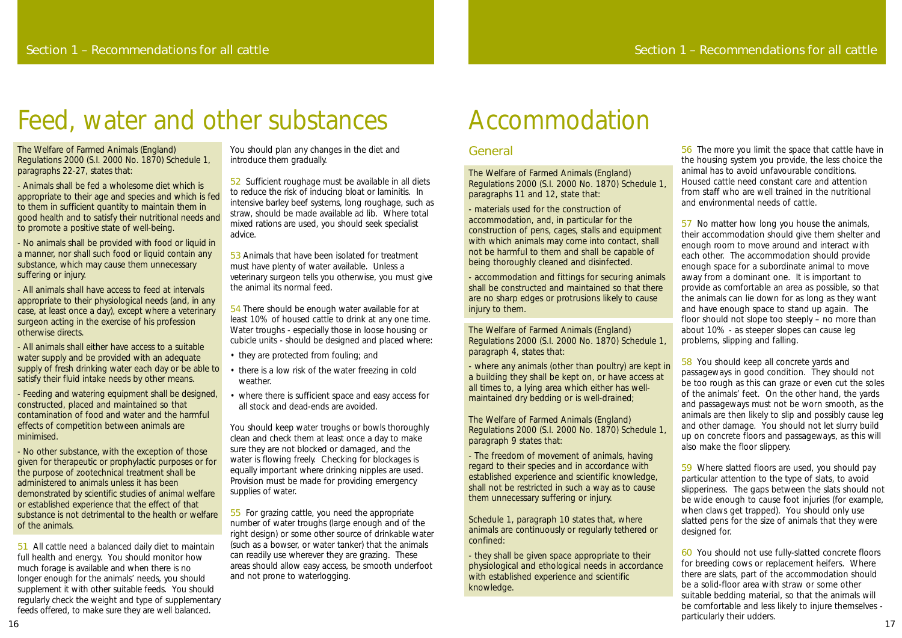# General

The Welfare of Farmed Animals (England) Regulations 2000 (S.I. 2000 No. 1870) Schedule 1, paragraphs 11 and 12, state that:

- materials used for the construction of accommodation, and, in particular for the construction of pens, cages, stalls and equipment with which animals may come into contact, shall not be harmful to them and shall be capable of being thoroughly cleaned and disinfected.

- accommodation and fittings for securing animals shall be constructed and maintained so that there are no sharp edges or protrusions likely to cause injury to them.

The Welfare of Farmed Animals (England) Regulations 2000 (S.I. 2000 No. 1870) Schedule 1, paragraph 4, states that:

- where any animals (other than poultry) are kept in a building they shall be kept on, or have access at all times to, a lying area which either has wellmaintained dry bedding or is well-drained;

The Welfare of Farmed Animals (England) Regulations 2000 (S.I. 2000 No. 1870) Schedule 1, paragraph 9 states that:

- The freedom of movement of animals, having regard to their species and in accordance with established experience and scientific knowledge, shall not be restricted in such a way as to cause them unnecessary suffering or injury.

Schedule 1, paragraph 10 states that, where animals are continuously or regularly tethered or confined:

- they shall be given space appropriate to their physiological and ethological needs in accordance with established experience and scientific knowledge.

60 You should not use fully-slatted concrete floors for breeding cows or replacement heifers. Where there are slats, part of the accommodation should be a solid-floor area with straw or some other suitable bedding material, so that the animals will be comfortable and less likely to injure themselves particularly their udders.<br>
17

56 The more you limit the space that cattle have in the housing system you provide, the less choice the animal has to avoid unfavourable conditions. Housed cattle need constant care and attention from staff who are well trained in the nutritional and environmental needs of cattle.

57 No matter how long you house the animals, their accommodation should give them shelter and enough room to move around and interact with each other. The accommodation should provide enough space for a subordinate animal to move away from a dominant one. It is important to provide as comfortable an area as possible, so that the animals can lie down for as long as they want and have enough space to stand up again. The floor should not slope too steeply – no more than about 10% - as steeper slopes can cause leg problems, slipping and falling.

58 You should keep all concrete yards and passageways in good condition. They should not be too rough as this can graze or even cut the soles of the animals' feet. On the other hand, the yards and passageways must not be worn smooth, as the animals are then likely to slip and possibly cause leg and other damage. You should not let slurry build up on concrete floors and passageways, as this will also make the floor slippery.

59 Where slatted floors are used, you should pay particular attention to the type of slats, to avoid slipperiness. The gaps between the slats should not be wide enough to cause foot injuries (for example, when claws get trapped). You should only use slatted pens for the size of animals that they were designed for.

53 Animals that have been isolated for treatment must have plenty of water available. Unless a veterinary surgeon tells you otherwise, you must give the animal its normal feed.

# Accommodation

The Welfare of Farmed Animals (England) Regulations 2000 (S.I. 2000 No. 1870) Schedule 1, paragraphs 22-27, states that:

- Animals shall be fed a wholesome diet which is appropriate to their age and species and which is fed to them in sufficient quantity to maintain them in good health and to satisfy their nutritional needs and to promote a positive state of well-being.

- No animals shall be provided with food or liquid in a manner, nor shall such food or liquid contain any substance, which may cause them unnecessary suffering or injury.

- All animals shall have access to feed at intervals appropriate to their physiological needs (and, in any case, at least once a day), except where a veterinary surgeon acting in the exercise of his profession otherwise directs.

- All animals shall either have access to a suitable water supply and be provided with an adequate supply of fresh drinking water each day or be able to satisfy their fluid intake needs by other means.

- Feeding and watering equipment shall be designed, constructed, placed and maintained so that contamination of food and water and the harmful effects of competition between animals are minimised.

- No other substance, with the exception of those given for therapeutic or prophylactic purposes or for the purpose of zootechnical treatment shall be administered to animals unless it has been demonstrated by scientific studies of animal welfare or established experience that the effect of that substance is not detrimental to the health or welfare of the animals.

51 All cattle need a balanced daily diet to maintain full health and energy. You should monitor how much forage is available and when there is no longer enough for the animals' needs, you should supplement it with other suitable feeds. You should regularly check the weight and type of supplementary feeds offered, to make sure they are well balanced.

You should plan any changes in the diet and introduce them gradually.

52 Sufficient roughage must be available in all diets to reduce the risk of inducing bloat or laminitis. In intensive barley beef systems, long roughage, such as straw, should be made available *ad lib*. Where total mixed rations are used, you should seek specialist advice.

54 There should be enough water available for at least 10% of housed cattle to drink at any one time. Water troughs - especially those in loose housing or cubicle units - should be designed and placed where:

- they are protected from fouling; and
- there is a low risk of the water freezing in cold weather.
- where there is sufficient space and easy access for all stock and dead-ends are avoided.

You should keep water troughs or bowls thoroughly clean and check them at least once a day to make sure they are not blocked or damaged, and the water is flowing freely. Checking for blockages is equally important where drinking nipples are used. Provision must be made for providing emergency supplies of water.

55 For grazing cattle, you need the appropriate number of water troughs (large enough and of the right design) or some other source of drinkable water (such as a bowser, or water tanker) that the animals can readily use wherever they are grazing. These areas should allow easy access, be smooth underfoot and not prone to waterlogging.

# Feed, water and other substances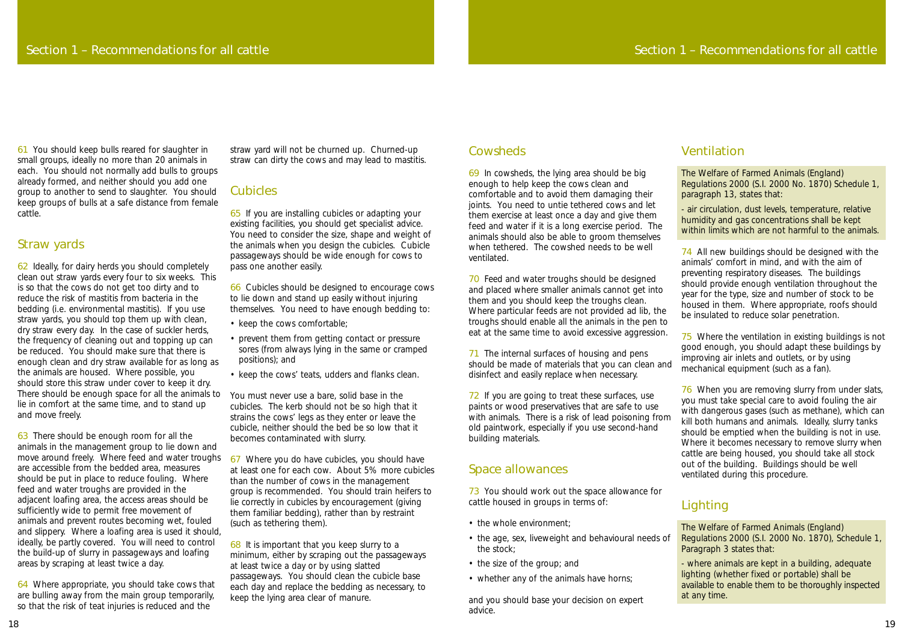69 In cowsheds, the lying area should be big enough to help keep the cows clean and comfortable and to avoid them damaging their joints. You need to untie tethered cows and let them exercise at least once a day and give them feed and water if it is a long exercise period. The animals should also be able to groom themselves when tethered. The cowshed needs to be well ventilated.

70 Feed and water troughs should be designed and placed where smaller animals cannot get into them and you should keep the troughs clean. Where particular feeds are not provided *ad lib*, the troughs should enable all the animals in the pen to eat at the same time to avoid excessive aggression.

71 The internal surfaces of housing and pens should be made of materials that you can clean and disinfect and easily replace when necessary.

73 You should work out the space allowance for cattle housed in groups in terms of:

- the whole environment;
- the age, sex, liveweight and behavioural needs of the stock;
- the size of the group; and
- whether any of the animals have horns;

74 All new buildings should be designed with the animals' comfort in mind, and with the aim of preventing respiratory diseases. The buildings should provide enough ventilation throughout the year for the type, size and number of stock to be housed in them. Where appropriate, roofs should be insulated to reduce solar penetration.

# Space allowances

72 If you are going to treat these surfaces, use paints or wood preservatives that are safe to use with animals. There is a risk of lead poisoning from old paintwork, especially if you use second-hand building materials. 76 When you are removing slurry from under slats, you must take special care to avoid fouling the air with dangerous gases (such as methane), which can kill both humans and animals. Ideally, slurry tanks should be emptied when the building is not in use. Where it becomes necessary to remove slurry when cattle are being housed, you should take all stock out of the building. Buildings should be well ventilated during this procedure.

and you should base your decision on expert advice.

# Ventilation

The Welfare of Farmed Animals (England) Regulations 2000 (S.I. 2000 No. 1870) Schedule 1, paragraph 13, states that:

- air circulation, dust levels, temperature, relative humidity and gas concentrations shall be kept within limits which are not harmful to the animals.

75 Where the ventilation in existing buildings is not good enough, you should adapt these buildings by improving air inlets and outlets, or by using mechanical equipment (such as a fan).

# **Lighting**

63 There should be enough room for all the animals in the management group to lie down and move around freely. Where feed and water troughs are accessible from the bedded area, measures should be put in place to reduce fouling. Where feed and water troughs are provided in the adjacent loafing area, the access areas should be sufficiently wide to permit free movement of animals and prevent routes becoming wet, fouled and slippery. Where a loafing area is used it should, ideally, be partly covered. You will need to control the build-up of slurry in passageways and loafing areas by scraping at least twice a day.

The Welfare of Farmed Animals (England) Regulations 2000 (S.I. 2000 No. 1870), Schedule 1, Paragraph 3 states that:

- where animals are kept in a building, adequate lighting (whether fixed or portable) shall be available to enable them to be thoroughly inspected at any time.

61 You should keep bulls reared for slaughter in small groups, ideally no more than 20 animals in each. You should not normally add bulls to groups already formed, and neither should you add one group to another to send to slaughter. You should keep groups of bulls at a safe distance from female cattle.

> 68 It is important that you keep slurry to a minimum, either by scraping out the passageways at least twice a day or by using slatted passageways. You should clean the cubicle base each day and replace the bedding as necessary, to keep the lying area clear of manure.

## **Cowsheds**

### Straw yards

62 Ideally, for dairy herds you should completely clean out straw yards every four to six weeks. This is so that the cows do not get too dirty and to reduce the risk of mastitis from bacteria in the bedding (i.e. environmental mastitis). If you use straw yards, you should top them up with clean, dry straw every day. In the case of suckler herds, the frequency of cleaning out and topping up can be reduced. You should make sure that there is enough clean and dry straw available for as long as the animals are housed. Where possible, you should store this straw under cover to keep it dry. There should be enough space for all the animals to lie in comfort at the same time, and to stand up and move freely.

64 Where appropriate, you should take cows that are bulling away from the main group temporarily, so that the risk of teat injuries is reduced and the

straw yard will not be churned up. Churned-up straw can dirty the cows and may lead to mastitis.

# Cubicles

65 If you are installing cubicles or adapting your existing facilities, you should get specialist advice. You need to consider the size, shape and weight of the animals when you design the cubicles. Cubicle passageways should be wide enough for cows to pass one another easily.

66 Cubicles should be designed to encourage cows to lie down and stand up easily without injuring themselves. You need to have enough bedding to:

- keep the cows comfortable;
- prevent them from getting contact or pressure sores (from always lying in the same or cramped positions); and
- keep the cows' teats, udders and flanks clean.

You must never use a bare, solid base in the cubicles. The kerb should not be so high that it strains the cows' legs as they enter or leave the cubicle, neither should the bed be so low that it becomes contaminated with slurry.

67 Where you do have cubicles, you should have at least one for each cow. About 5% more cubicles than the number of cows in the management group is recommended. You should train heifers to lie correctly in cubicles by encouragement (giving them familiar bedding), rather than by restraint (such as tethering them).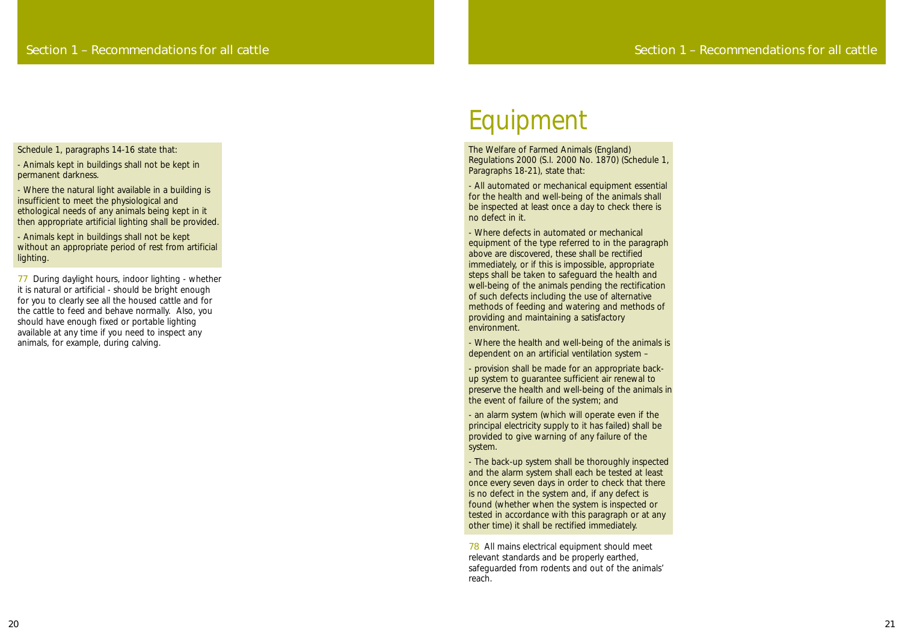The Welfare of Farmed Animals (England) Regulations 2000 (S.I. 2000 No. 1870) (Schedule 1, Paragraphs 18-21), state that:

- All automated or mechanical equipment essential for the health and well-being of the animals shall be inspected at least once a day to check there is no defect in it.

- Where defects in automated or mechanical equipment of the type referred to in the paragraph above are discovered, these shall be rectified immediately, or if this is impossible, appropriate steps shall be taken to safeguard the health and well-being of the animals pending the rectification of such defects including the use of alternative methods of feeding and watering and methods of providing and maintaining a satisfactory environment.

- Where the health and well-being of the animals is dependent on an artificial ventilation system –

- provision shall be made for an appropriate backup system to guarantee sufficient air renewal to preserve the health and well-being of the animals in the event of failure of the system; and

- an alarm system (which will operate even if the principal electricity supply to it has failed) shall be provided to give warning of any failure of the system.

- The back-up system shall be thoroughly inspected and the alarm system shall each be tested at least once every seven days in order to check that there is no defect in the system and, if any defect is found (whether when the system is inspected or tested in accordance with this paragraph or at any other time) it shall be rectified immediately.

78 All mains electrical equipment should meet relevant standards and be properly earthed, safeguarded from rodents and out of the animals' reach.

# Equipment

Schedule 1, paragraphs 14-16 state that:

- Animals kept in buildings shall not be kept in permanent darkness.

- Where the natural light available in a building is insufficient to meet the physiological and ethological needs of any animals being kept in it then appropriate artificial lighting shall be provided.

- Animals kept in buildings shall not be kept without an appropriate period of rest from artificial lighting.

77 During daylight hours, indoor lighting - whether it is natural or artificial - should be bright enough for you to clearly see all the housed cattle and for the cattle to feed and behave normally. Also, you should have enough fixed or portable lighting available at any time if you need to inspect any animals, for example, during calving.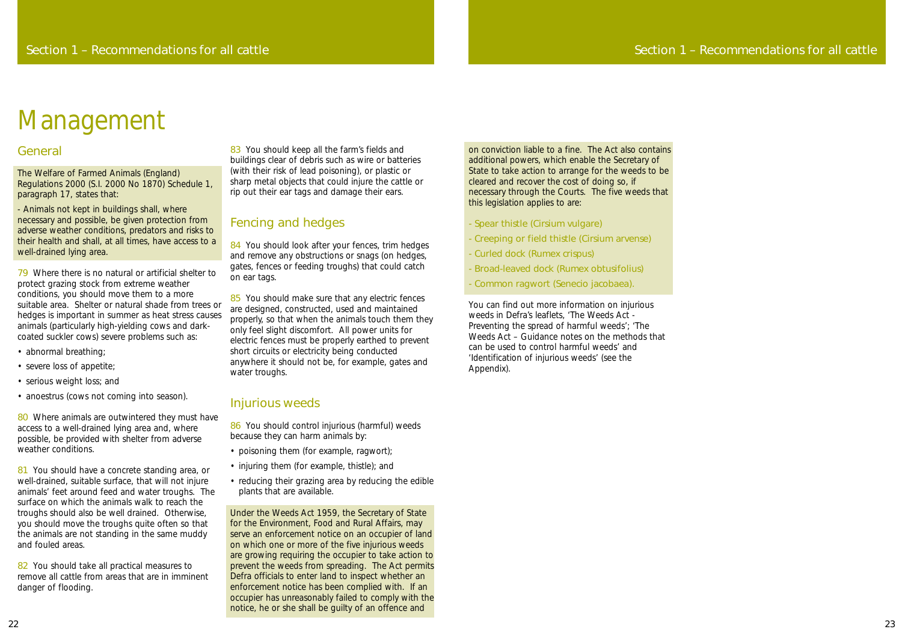on conviction liable to a fine. The Act also contains additional powers, which enable the Secretary of State to take action to arrange for the weeds to be cleared and recover the cost of doing so, if necessary through the Courts. The five weeds that this legislation applies to are:

- Spear thistle (Cirsium vulgare)
- Creeping or field thistle (Cirsium arvense)
- Curled dock (Rumex crispus)
- Broad-leaved dock (Rumex obtusifolius)
- Common ragwort (Senecio jacobaea).

You can find out more information on injurious weeds in Defra's leaflets, 'The Weeds Act - Preventing the spread of harmful weeds'; 'The Weeds Act – Guidance notes on the methods that can be used to control harmful weeds' and 'Identification of injurious weeds' (see the Appendix).

#### General

The Welfare of Farmed Animals (England) Regulations 2000 (S.I. 2000 No 1870) Schedule 1, paragraph 17, states that:

80 Where animals are outwintered they must have access to a well-drained lying area and, where possible, be provided with shelter from adverse weather conditions.

- Animals not kept in buildings shall, where necessary and possible, be given protection from adverse weather conditions, predators and risks to their health and shall, at all times, have access to a well-drained lying area.

81 You should have a concrete standing area, or well-drained, suitable surface, that will not injure animals' feet around feed and water troughs. The surface on which the animals walk to reach the troughs should also be well drained. Otherwise, you should move the troughs quite often so that the animals are not standing in the same muddy and fouled areas.

82 You should take all practical measures to remove all cattle from areas that are in imminent danger of flooding.

83 You should keep all the farm's fields and buildings clear of debris such as wire or batteries (with their risk of lead poisoning), or plastic or sharp metal objects that could injure the cattle or rip out their ear tags and damage their ears.

79 Where there is no natural or artificial shelter to protect grazing stock from extreme weather conditions, you should move them to a more suitable area. Shelter or natural shade from trees or hedges is important in summer as heat stress causes animals (particularly high-yielding cows and darkcoated suckler cows) severe problems such as:

84 You should look after your fences, trim hedges and remove any obstructions or snags (on hedges, gates, fences or feeding troughs) that could catch on ear tags.

85 You should make sure that any electric fences are designed, constructed, used and maintained properly, so that when the animals touch them they only feel slight discomfort. All power units for electric fences must be properly earthed to prevent short circuits or electricity being conducted anywhere it should not be, for example, gates and water troughs.

- abnormal breathing;
- severe loss of appetite;
- serious weight loss; and
- anoestrus (cows not coming into season).

86 You should control injurious (harmful) weeds because they can harm animals by:

- poisoning them (for example, ragwort);
- injuring them (for example, thistle); and
- reducing their grazing area by reducing the edible plants that are available.

## Fencing and hedges

#### Injurious weeds

Under the Weeds Act 1959, the Secretary of State for the Environment, Food and Rural Affairs, may serve an enforcement notice on an occupier of land on which one or more of the five injurious weeds are growing requiring the occupier to take action to prevent the weeds from spreading. The Act permits Defra officials to enter land to inspect whether an enforcement notice has been complied with. If an occupier has unreasonably failed to comply with the notice, he or she shall be guilty of an offence and

# Management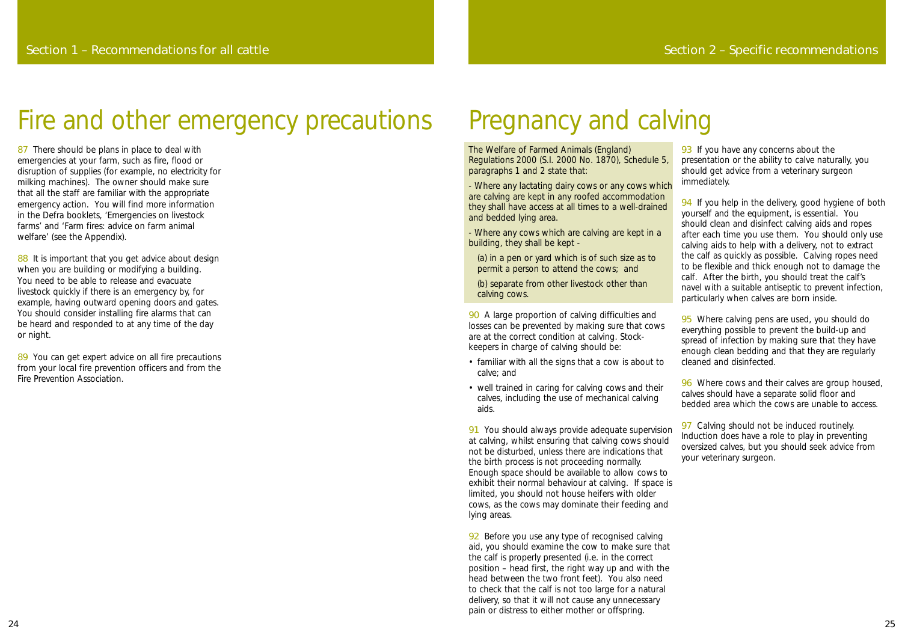The Welfare of Farmed Animals (England) Regulations 2000 (S.I. 2000 No. 1870), Schedule 5, paragraphs 1 and 2 state that:

- Where any lactating dairy cows or any cows which are calving are kept in any roofed accommodation they shall have access at all times to a well-drained and bedded lying area.

- Where any cows which are calving are kept in a building, they shall be kept -

90 A large proportion of calving difficulties and losses can be prevented by making sure that cows are at the correct condition at calving. Stockkeepers in charge of calving should be:

(a) in a pen or yard which is of such size as to permit a person to attend the cows; and

(b) separate from other livestock other than calving cows.

- familiar with all the signs that a cow is about to calve; and
- well trained in caring for calving cows and their calves, including the use of mechanical calving aids.

92 Before you use any type of recognised calving aid, you should examine the cow to make sure that the calf is properly presented (i.e. in the correct position – head first, the right way up and with the head between the two front feet). You also need to check that the calf is not too large for a natural delivery, so that it will not cause any unnecessary pain or distress to either mother or offspring.

93 If you have any concerns about the presentation or the ability to calve naturally, you should get advice from a veterinary surgeon immediately.

94 If you help in the delivery, good hygiene of both yourself and the equipment, is essential. You should clean and disinfect calving aids and ropes after each time you use them. You should only use calving aids to help with a delivery, not to extract the calf as quickly as possible. Calving ropes need to be flexible and thick enough not to damage the calf. After the birth, you should treat the calf's navel with a suitable antiseptic to prevent infection, particularly when calves are born inside.

95 Where calving pens are used, you should do everything possible to prevent the build-up and spread of infection by making sure that they have enough clean bedding and that they are regularly cleaned and disinfected.

96 Where cows and their calves are group housed, calves should have a separate solid floor and bedded area which the cows are unable to access.

91 You should always provide adequate supervision at calving, whilst ensuring that calving cows should not be disturbed, unless there are indications that the birth process is not proceeding normally. Enough space should be available to allow cows to exhibit their normal behaviour at calving. If space is limited, you should not house heifers with older cows, as the cows may dominate their feeding and lying areas. 97 Calving should not be induced routinely. Induction does have a role to play in preventing oversized calves, but you should seek advice from your veterinary surgeon.

87 There should be plans in place to deal with emergencies at your farm, such as fire, flood or disruption of supplies (for example, no electricity for milking machines). The owner should make sure that all the staff are familiar with the appropriate emergency action. You will find more information in the Defra booklets, 'Emergencies on livestock farms' and 'Farm fires: advice on farm animal welfare' (see the Appendix).

88 It is important that you get advice about design when you are building or modifying a building. You need to be able to release and evacuate livestock quickly if there is an emergency by, for example, having outward opening doors and gates. You should consider installing fire alarms that can be heard and responded to at any time of the day or night.

89 You can get expert advice on all fire precautions from your local fire prevention officers and from the Fire Prevention Association.

# Pregnancy and calving

# Fire and other emergency precautions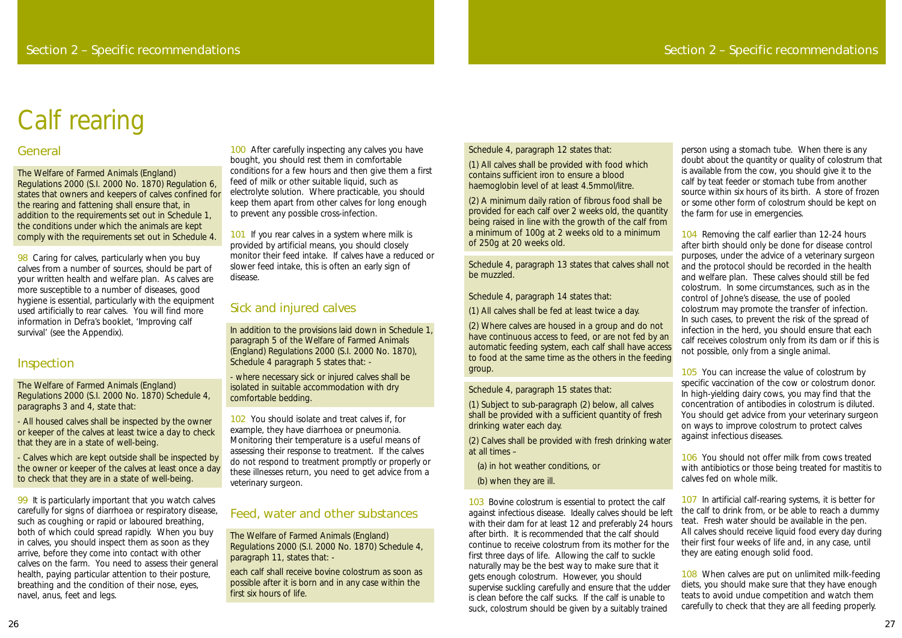Schedule 4, paragraph 12 states that:

(1) All calves shall be provided with food which contains sufficient iron to ensure a blood haemoglobin level of at least 4.5mmol/litre.

(2) A minimum daily ration of fibrous food shall be provided for each calf over 2 weeks old, the quantity being raised in line with the growth of the calf from a minimum of 100g at 2 weeks old to a minimum of 250g at 20 weeks old.

Schedule 4, paragraph 13 states that calves shall not be muzzled.

Schedule 4, paragraph 14 states that:

(1) All calves shall be fed at least twice a day.

(2) Where calves are housed in a group and do not have continuous access to feed, or are not fed by an automatic feeding system, each calf shall have access to food at the same time as the others in the feeding group.

Schedule 4, paragraph 15 states that:

(1) Subject to sub-paragraph (2) below, all calves shall be provided with a sufficient quantity of fresh drinking water each day.

(2) Calves shall be provided with fresh drinking water at all times –

- (a) in hot weather conditions, or
- (b) when they are ill.

104 Removing the calf earlier than 12-24 hours after birth should only be done for disease control purposes, under the advice of a veterinary surgeon and the protocol should be recorded in the health and welfare plan. These calves should still be fed colostrum. In some circumstances, such as in the control of Johne's disease, the use of pooled colostrum may promote the transfer of infection. In such cases, to prevent the risk of the spread of infection in the herd, you should ensure that each calf receives colostrum only from its dam or if this is not possible, only from a single animal.

103 Bovine colostrum is essential to protect the calf against infectious disease. Ideally calves should be left with their dam for at least 12 and preferably 24 hours after birth. It is recommended that the calf should continue to receive colostrum from its mother for the first three days of life. Allowing the calf to suckle naturally may be the best way to make sure that it gets enough colostrum. However, you should supervise suckling carefully and ensure that the udder is clean before the calf sucks. If the calf is unable to suck, colostrum should be given by a suitably trained 107 In artificial calf-rearing systems, it is better for the calf to drink from, or be able to reach a dummy teat. Fresh water should be available in the pen. All calves should receive liquid food every day during their first four weeks of life and, in any case, until they are eating enough solid food. 108 When calves are put on unlimited milk-feeding diets, you should make sure that they have enough teats to avoid undue competition and watch them carefully to check that they are all feeding properly.

person using a stomach tube. When there is any doubt about the quantity or quality of colostrum that is available from the cow, you should give it to the calf by teat feeder or stomach tube from another source within six hours of its birth. A store of frozen or some other form of colostrum should be kept on the farm for use in emergencies.

98 Caring for calves, particularly when you buy calves from a number of sources, should be part of your written health and welfare plan. As calves are more susceptible to a number of diseases, good hygiene is essential, particularly with the equipment used artificially to rear calves. You will find more information in Defra's booklet, 'Improving calf survival' (see the Appendix).

> 105 You can increase the value of colostrum by specific vaccination of the cow or colostrum donor. In high-yielding dairy cows, you may find that the concentration of antibodies in colostrum is diluted. You should get advice from your veterinary surgeon on ways to improve colostrum to protect calves against infectious diseases.

100 After carefully inspecting any calves you have bought, you should rest them in comfortable conditions for a few hours and then give them a first feed of milk or other suitable liquid, such as electrolyte solution. Where practicable, you should keep them apart from other calves for long enough to prevent any possible cross-infection.

101 If you rear calves in a system where milk is provided by artificial means, you should closely monitor their feed intake. If calves have a reduced or slower feed intake, this is often an early sign of disease.

> 106 You should not offer milk from cows treated with antibiotics or those being treated for mastitis to calves fed on whole milk.

#### General

The Welfare of Farmed Animals (England) Regulations 2000 (S.I. 2000 No. 1870) Regulation 6, states that owners and keepers of calves confined for the rearing and fattening shall ensure that, in addition to the requirements set out in Schedule 1, the conditions under which the animals are kept comply with the requirements set out in Schedule 4.

#### Inspection

The Welfare of Farmed Animals (England) Regulations 2000 (S.I. 2000 No. 1870) Schedule 4, paragraphs 3 and 4, state that:

- All housed calves shall be inspected by the owner or keeper of the calves at least twice a day to check that they are in a state of well-being.

- Calves which are kept outside shall be inspected by the owner or keeper of the calves at least once a day to check that they are in a state of well-being.

99 It is particularly important that you watch calves carefully for signs of diarrhoea or respiratory disease, such as coughing or rapid or laboured breathing, both of which could spread rapidly. When you buy in calves, you should inspect them as soon as they arrive, before they come into contact with other calves on the farm. You need to assess their general health, paying particular attention to their posture, breathing and the condition of their nose, eyes, navel, anus, feet and legs.

### Sick and injured calves

In addition to the provisions laid down in Schedule 1, paragraph 5 of the Welfare of Farmed Animals (England) Regulations 2000 (S.I. 2000 No. 1870), Schedule 4 paragraph 5 states that: -

- where necessary sick or injured calves shall be isolated in suitable accommodation with dry comfortable bedding.

102 You should isolate and treat calves if, for example, they have diarrhoea or pneumonia. Monitoring their temperature is a useful means of assessing their response to treatment. If the calves do not respond to treatment promptly or properly or these illnesses return, you need to get advice from a veterinary surgeon.

#### Feed, water and other substances

The Welfare of Farmed Animals (England) Regulations 2000 (S.I. 2000 No. 1870) Schedule 4, paragraph 11, states that: -

each calf shall receive bovine colostrum as soon as possible after it is born and in any case within the first six hours of life.

# Calf rearing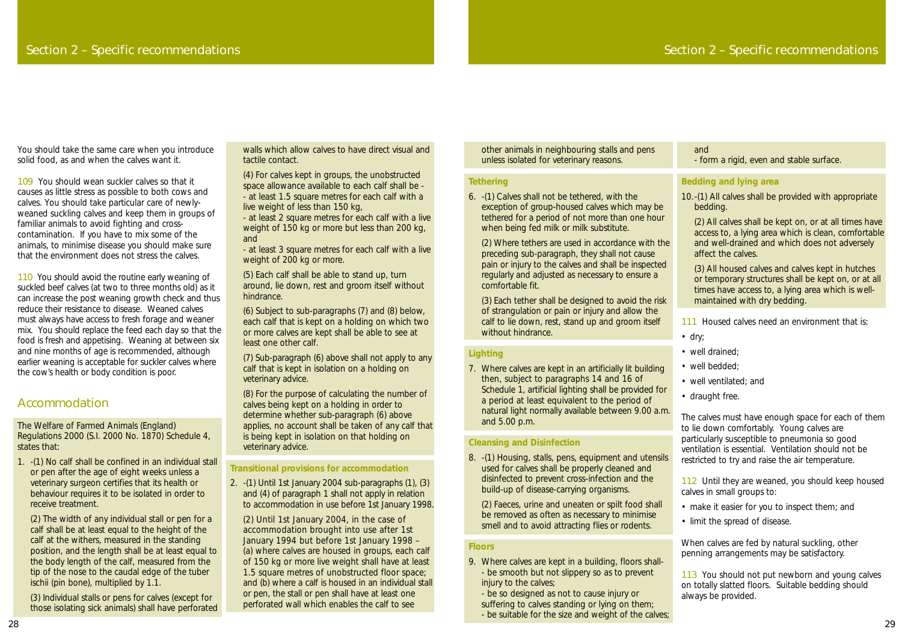other animals in neighbouring stalls and pens unless isolated for veterinary reasons.

#### **Tethering**

6. -(1) Calves shall not be tethered, with the exception of group-housed calves which may be tethered for a period of not more than one hour when being fed milk or milk substitute.

(3) Each tether shall be designed to avoid the risk of strangulation or pain or injury and allow the calf to lie down, rest, stand up and groom itself without hindrance.

(2) Where tethers are used in accordance with the preceding sub-paragraph, they shall not cause pain or injury to the calves and shall be inspected regularly and adjusted as necessary to ensure a comfortable fit.

#### **Lighting**

7. Where calves are kept in an artificially lit building then, subject to paragraphs 14 and 16 of Schedule 1, artificial lighting shall be provided for a period at least equivalent to the period of natural light normally available between 9.00 a.m. and 5.00 p.m.

#### **Cleansing and Disinfection**

8. -(1) Housing, stalls, pens, equipment and utensils used for calves shall be properly cleaned and disinfected to prevent cross-infection and the build-up of disease-carrying organisms.

- 111 Housed calves need an environment that is:
- dry;
- well drained;
- well bedded;
- well ventilated; and
- draught free.

(2) Faeces, urine and uneaten or spilt food shall be removed as often as necessary to minimise smell and to avoid attracting flies or rodents.

112 Until they are weaned, you should keep housed calves in small groups to:

#### **Floors**

113 You should not put newborn and young calves on totally slatted floors. Suitable bedding should always be provided.

- 9. Where calves are kept in a building, floors shall- - be smooth but not slippery so as to prevent injury to the calves;
	- be so designed as not to cause injury or
- suffering to calves standing or lying on them;
- be suitable for the size and weight of the calves;

#### and - form a rigid, even and stable surface.

#### **Bedding and lying area**

109 You should wean suckler calves so that it causes as little stress as possible to both cows and calves. You should take particular care of newlyweaned suckling calves and keep them in groups of familiar animals to avoid fighting and crosscontamination. If you have to mix some of the animals, to minimise disease you should make sure that the environment does not stress the calves.

10.-(1) All calves shall be provided with appropriate bedding.

(2) All calves shall be kept on, or at all times have access to, a lying area which is clean, comfortable and well-drained and which does not adversely affect the calves.

110 You should avoid the routine early weaning of suckled beef calves (at two to three months old) as it can increase the post weaning growth check and thus reduce their resistance to disease. Weaned calves must always have access to fresh forage and weaner mix. You should replace the feed each day so that the food is fresh and appetising. Weaning at between six and nine months of age is recommended, although earlier weaning is acceptable for suckler calves where the cow's health or body condition is poor.

(3) All housed calves and calves kept in hutches or temporary structures shall be kept on, or at all times have access to, a lying area which is wellmaintained with dry bedding.

The calves must have enough space for each of them to lie down comfortably. Young calves are particularly susceptible to pneumonia so good ventilation is essential. Ventilation should not be restricted to try and raise the air temperature.

- make it easier for you to inspect them; and
- limit the spread of disease.

When calves are fed by natural suckling, other penning arrangements may be satisfactory.

You should take the same care when you introduce solid food, as and when the calves want it.

### Accommodation

The Welfare of Farmed Animals (England) Regulations 2000 (S.I. 2000 No. 1870) Schedule 4, states that:

1. -(1) No calf shall be confined in an individual stall or pen after the age of eight weeks unless a veterinary surgeon certifies that its health or behaviour requires it to be isolated in order to receive treatment.

(2) The width of any individual stall or pen for a calf shall be at least equal to the height of the calf at the withers, measured in the standing position, and the length shall be at least equal to the body length of the calf, measured from the tip of the nose to the caudal edge of the *tuber ischii* (pin bone), multiplied by 1.1.

(3) Individual stalls or pens for calves (except for those isolating sick animals) shall have perforated

walls which allow calves to have direct visual and tactile contact.

(4) For calves kept in groups, the unobstructed space allowance available to each calf shall be - - at least 1.5 square metres for each calf with a live weight of less than 150 kg,

- at least 2 square metres for each calf with a live weight of 150 kg or more but less than 200 kg, and

- at least 3 square metres for each calf with a live weight of 200 kg or more.

(5) Each calf shall be able to stand up, turn around, lie down, rest and groom itself without hindrance.

(6) Subject to sub-paragraphs (7) and (8) below, each calf that is kept on a holding on which two or more calves are kept shall be able to see at least one other calf.

(7) Sub-paragraph (6) above shall not apply to any calf that is kept in isolation on a holding on veterinary advice.

(8) For the purpose of calculating the number of calves being kept on a holding in order to determine whether sub-paragraph (6) above applies, no account shall be taken of any calf that is being kept in isolation on that holding on veterinary advice.

#### **Transitional provisions for accommodation**

2. -(1) Until 1st January 2004 sub-paragraphs (1), (3) and (4) of paragraph 1 shall not apply in relation to accommodation in use before 1st January 1998.

(2) Until 1st January 2004, in the case of accommodation brought into use after 1st January 1994 but before 1st January 1998 – (a) where calves are housed in groups, each calf of 150 kg or more live weight shall have at least 1.5 square metres of unobstructed floor space; and (b) where a calf is housed in an individual stall or pen, the stall or pen shall have at least one perforated wall which enables the calf to see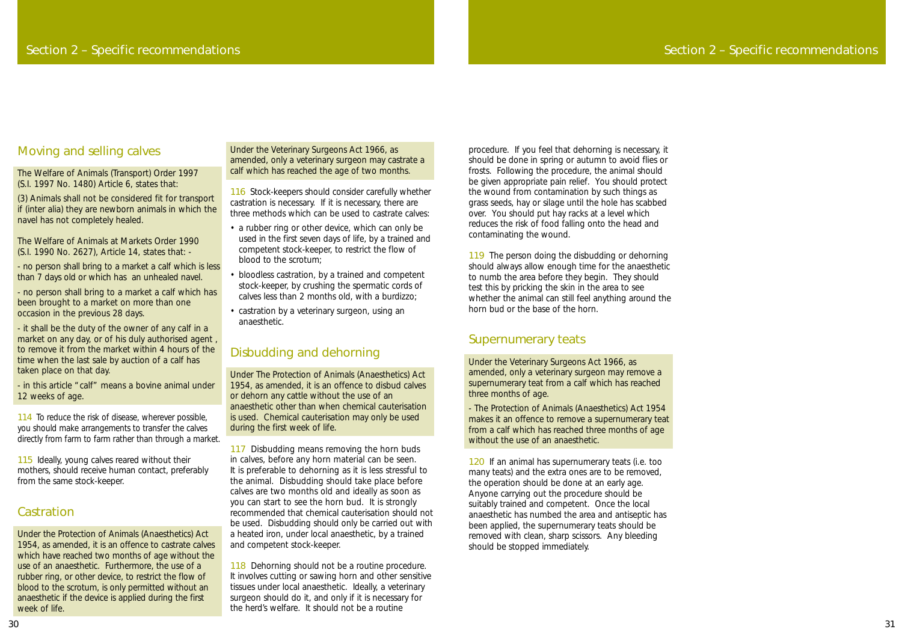procedure. If you feel that dehorning is necessary, it should be done in spring or autumn to avoid flies or frosts. Following the procedure, the animal should be given appropriate pain relief. You should protect the wound from contamination by such things as grass seeds, hay or silage until the hole has scabbed over. You should put hay racks at a level which reduces the risk of food falling onto the head and contaminating the wound.

119 The person doing the disbudding or dehorning should always allow enough time for the anaesthetic to numb the area before they begin. They should test this by pricking the skin in the area to see whether the animal can still feel anything around the horn bud or the base of the horn.

- The Protection of Animals (Anaesthetics) Act 1954 makes it an offence to remove a supernumerary teat from a calf which has reached three months of age without the use of an anaesthetic.

#### Supernumerary teats

Under the Veterinary Surgeons Act 1966, as amended, only a veterinary surgeon may remove a supernumerary teat from a calf which has reached three months of age.

114 To reduce the risk of disease, wherever possible, you should make arrangements to transfer the calves directly from farm to farm rather than through a market.

> 120 If an animal has supernumerary teats (i.e. too many teats) and the extra ones are to be removed, the operation should be done at an early age. Anyone carrying out the procedure should be suitably trained and competent. Once the local anaesthetic has numbed the area and antiseptic has been applied, the supernumerary teats should be removed with clean, sharp scissors. Any bleeding should be stopped immediately.

115 Ideally, young calves reared without their mothers, should receive human contact, preferably from the same stock-keeper.

### **Castration**

# Section 2 – Specific recommendations

### Moving and selling calves

The Welfare of Animals (Transport) Order 1997 (S.I. 1997 No. 1480) Article 6, states that:

(3) Animals shall not be considered fit for transport if *(inter alia)* they are newborn animals in which the navel has not completely healed.

The Welfare of Animals at Markets Order 1990 (S.I. 1990 No. 2627), Article 14, states that: -

- no person shall bring to a market a calf which is less than 7 days old or which has an unhealed navel.

- no person shall bring to a market a calf which has been brought to a market on more than one occasion in the previous 28 days.

- it shall be the duty of the owner of any calf in a market on any day, or of his duly authorised agent , to remove it from the market within 4 hours of the time when the last sale by auction of a calf has taken place on that day.

> 117 Disbudding means removing the horn buds in calves, before any horn material can be seen. It is preferable to dehorning as it is less stressful to the animal. Disbudding should take place before calves are two months old and ideally as soon as you can start to see the horn bud. It is strongly recommended that chemical cauterisation should not be used. Disbudding should only be carried out with a heated iron, under local anaesthetic, by a trained and competent stock-keeper.

- in this article "calf" means a bovine animal under 12 weeks of age.

> 118 Dehorning should not be a routine procedure. It involves cutting or sawing horn and other sensitive tissues under local anaesthetic. Ideally, a veterinary surgeon should do it, and only if it is necessary for the herd's welfare. It should not be a routine

Under the Protection of Animals (Anaesthetics) Act 1954, as amended, it is an offence to castrate calves which have reached two months of age without the use of an anaesthetic. Furthermore, the use of a rubber ring, or other device, to restrict the flow of blood to the scrotum, is only permitted without an anaesthetic if the device is applied during the first week of life.

Under the Veterinary Surgeons Act 1966, as amended, only a veterinary surgeon may castrate a calf which has reached the age of two months.

116 Stock-keepers should consider carefully whether castration is necessary. If it is necessary, there are three methods which can be used to castrate calves:

- a rubber ring or other device, which can only be used in the first seven days of life, by a trained and competent stock-keeper, to restrict the flow of blood to the scrotum;
- bloodless castration, by a trained and competent stock-keeper, by crushing the spermatic cords of calves less than 2 months old, with a burdizzo;
- castration by a veterinary surgeon, using an anaesthetic.

# Disbudding and dehorning

Under The Protection of Animals (Anaesthetics) Act 1954, as amended, it is an offence to disbud calves or dehorn any cattle without the use of an anaesthetic other than when chemical cauterisation is used. Chemical cauterisation may only be used during the first week of life.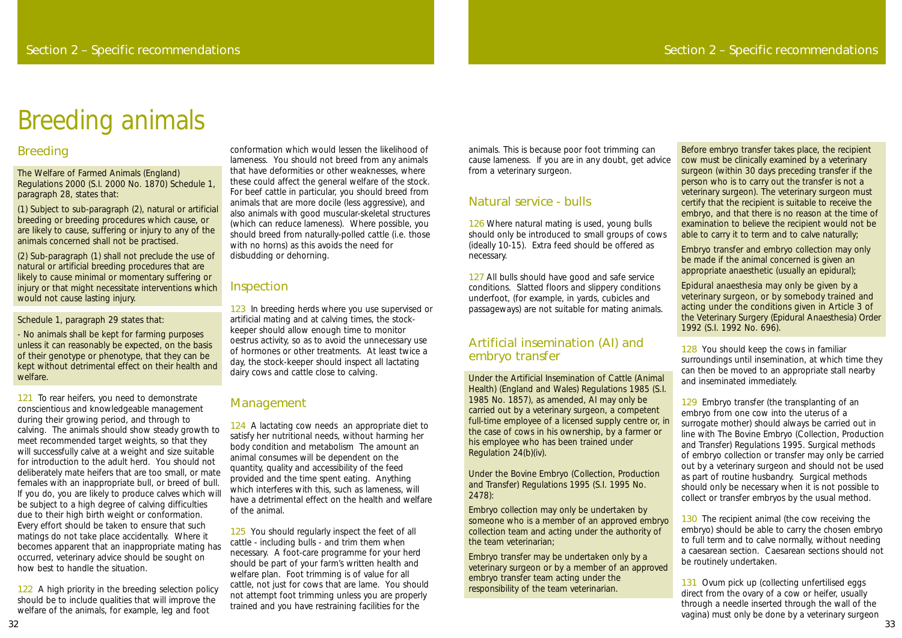animals. This is because poor foot trimming can cause lameness. If you are in any doubt, get advice from a veterinary surgeon.

### Natural service - bulls

126 Where natural mating is used, young bulls should only be introduced to small groups of cows (ideally 10-15). Extra feed should be offered as necessary.

127 All bulls should have good and safe service conditions. Slatted floors and slippery conditions underfoot, (for example, in yards, cubicles and passageways) are not suitable for mating animals.

### Artificial insemination (AI) and embryo transfer

Under the Artificial Insemination of Cattle (Animal Health) (England and Wales) Regulations 1985 (S.I. 1985 No. 1857), as amended, AI may only be carried out by a veterinary surgeon, a competent full-time employee of a licensed supply centre or, in the case of cows in his ownership, by a farmer or his employee who has been trained under Regulation 24(b)(iv).

Under the Bovine Embryo (Collection, Production and Transfer) Regulations 1995 (S.I. 1995 No. 2478):

Embryo collection may only be undertaken by someone who is a member of an approved embryo collection team and acting under the authority of the team veterinarian;

128 You should keep the cows in familiar surroundings until insemination, at which time they can then be moved to an appropriate stall nearby and inseminated immediately.

Embryo transfer may be undertaken only by a veterinary surgeon or by a member of an approved embryo transfer team acting under the responsibility of the team veterinarian.

129 Embryo transfer (the transplanting of an embryo from one cow into the uterus of a surrogate mother) should always be carried out in line with The Bovine Embryo (Collection, Production and Transfer) Regulations 1995. Surgical methods of embryo collection or transfer may only be carried out by a veterinary surgeon and should not be used as part of routine husbandry. Surgical methods should only be necessary when it is not possible to collect or transfer embryos by the usual method.

130 The recipient animal (the cow receiving the embryo) should be able to carry the chosen embryo to full term and to calve normally, without needing a caesarean section. Caesarean sections should not be routinely undertaken.

Before embryo transfer takes place, the recipient cow must be clinically examined by a veterinary surgeon (within 30 days preceding transfer if the person who is to carry out the transfer is not a veterinary surgeon). The veterinary surgeon must certify that the recipient is suitable to receive the embryo, and that there is no reason at the time of examination to believe the recipient would not be able to carry it to term and to calve naturally;

131 Ovum pick up (collecting unfertilised eggs direct from the ovary of a cow or heifer, usually through a needle inserted through the wall of the vagina) must only be done by a veterinary surgeon

Embryo transfer and embryo collection may only be made if the animal concerned is given an appropriate anaesthetic (usually an epidural);

Epidural anaesthesia may only be given by a veterinary surgeon, or by somebody trained and acting under the conditions given in Article 3 of the Veterinary Surgery (Epidural Anaesthesia) Order 1992 (S.I. 1992 No. 696).

121 To rear heifers, you need to demonstrate conscientious and knowledgeable management during their growing period, and through to calving. The animals should show steady growth to meet recommended target weights, so that they will successfully calve at a weight and size suitable for introduction to the adult herd. You should not deliberately mate heifers that are too small, or mate females with an inappropriate bull, or breed of bull. If you do, you are likely to produce calves which will be subject to a high degree of calving difficulties due to their high birth weight or conformation. Every effort should be taken to ensure that such matings do not take place accidentally. Where it becomes apparent that an inappropriate mating has occurred, veterinary advice should be sought on how best to handle the situation.

122 A high priority in the breeding selection policy should be to include qualities that will improve the welfare of the animals, for example, leg and foot

123 In breeding herds where you use supervised or artificial mating and at calving times, the stockkeeper should allow enough time to monitor oestrus activity, so as to avoid the unnecessary use of hormones or other treatments. At least twice a day, the stock-keeper should inspect all lactating dairy cows and cattle close to calving.

124 A lactating cow needs an appropriate diet to satisfy her nutritional needs, without harming her body condition and metabolism The amount an animal consumes will be dependent on the quantity, quality and accessibility of the feed provided and the time spent eating. Anything which interferes with this, such as lameness, will have a detrimental effect on the health and welfare of the animal.

### Breeding

The Welfare of Farmed Animals (England) Regulations 2000 (S.I. 2000 No. 1870) Schedule 1, paragraph 28, states that:

> 125 You should regularly inspect the feet of all cattle - including bulls - and trim them when necessary. A foot-care programme for your herd should be part of your farm's written health and welfare plan. Foot trimming is of value for all cattle, not just for cows that are lame. You should not attempt foot trimming unless you are properly trained and you have restraining facilities for the

(1) Subject to sub-paragraph (2), natural or artificial breeding or breeding procedures which cause, or are likely to cause, suffering or injury to any of the animals concerned shall not be practised.

(2) Sub-paragraph (1) shall not preclude the use of natural or artificial breeding procedures that are likely to cause minimal or momentary suffering or injury or that might necessitate interventions which would not cause lasting injury.

Schedule 1, paragraph 29 states that:

- No animals shall be kept for farming purposes unless it can reasonably be expected, on the basis of their genotype or phenotype, that they can be kept without detrimental effect on their health and welfare.

conformation which would lessen the likelihood of lameness. You should not breed from any animals that have deformities or other weaknesses, where these could affect the general welfare of the stock. For beef cattle in particular, you should breed from animals that are more docile (less aggressive), and also animals with good muscular-skeletal structures (which can reduce lameness). Where possible, you should breed from naturally-polled cattle (i.e. those with no horns) as this avoids the need for disbudding or dehorning.

### Inspection

### Management

# Breeding animals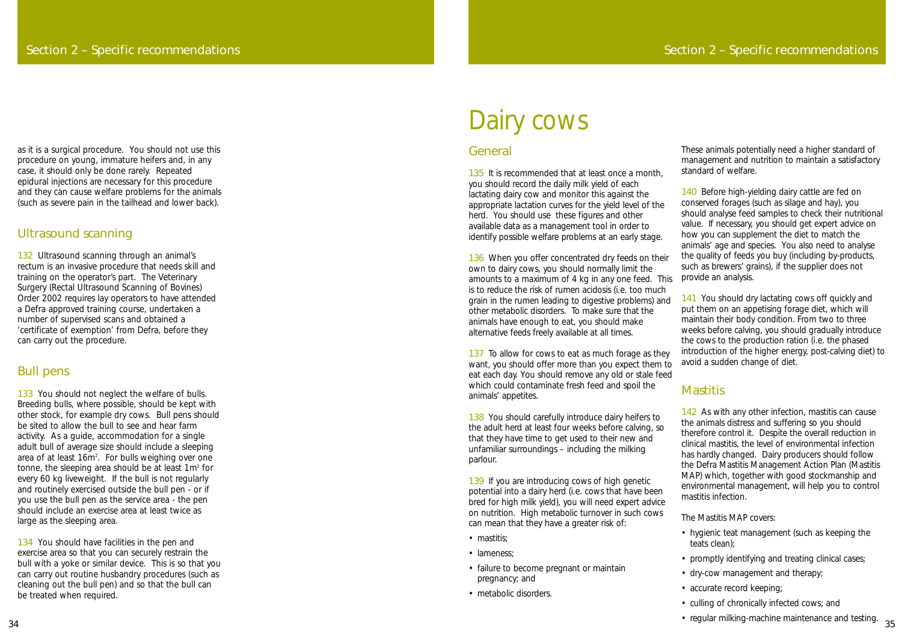### General

135 It is recommended that at least once a month. you should record the daily milk yield of each lactating dairy cow and monitor this against the appropriate lactation curves for the yield level of the herd. You should use these figures and other available data as a management tool in order to identify possible welfare problems at an early stage.

136 When you offer concentrated dry feeds on their own to dairy cows, you should normally limit the amounts to a maximum of 4 kg in any one feed. This is to reduce the risk of rumen acidosis (i.e. too much grain in the rumen leading to digestive problems) and other metabolic disorders. To make sure that the animals have enough to eat, you should make alternative feeds freely available at all times.

137 To allow for cows to eat as much forage as they want, you should offer more than you expect them to eat each day. You should remove any old or stale feed which could contaminate fresh feed and spoil the animals' appetites.

138 You should carefully introduce dairy heifers to the adult herd at least four weeks before calving, so that they have time to get used to their new and unfamiliar surroundings – including the milking parlour.

139 If you are introducing cows of high genetic potential into a dairy herd (i.e. cows that have been bred for high milk yield), you will need expert advice on nutrition. High metabolic turnover in such cows can mean that they have a greater risk of:<br>
• mastitis;<br>
• lameness;<br>
• failure to become pregnant or maintain

140 Before high-yielding dairy cattle are fed on conserved forages (such as silage and hay), you should analyse feed samples to check their nutritional value. If necessary, you should get expert advice on how you can supplement the diet to match the animals' age and species. You also need to analyse the quality of feeds you buy (including by-products, such as brewers' grains), if the supplier does not provide an analysis.

141 You should dry lactating cows off quickly and put them on an appetising forage diet, which will maintain their body condition. From two to three weeks before calving, you should gradually introduce the cows to the production ration (i.e. the phased introduction of the higher energy, post-calving diet) to avoid a sudden change of diet.

# **Mastitis**

142 As with any other infection, mastitis can cause the animals distress and suffering so you should therefore control it. Despite the overall reduction in clinical mastitis, the level of environmental infection has hardly changed. Dairy producers should follow the Defra Mastitis Management Action Plan (Mastitis MAP) which, together with good stockmanship and environmental management, will help you to control mastitis infection.

- 
- 
- pregnancy; and
- metabolic disorders.

These animals potentially need a higher standard of management and nutrition to maintain a satisfactory standard of welfare.

132 Ultrasound scanning through an animal's rectum is an invasive procedure that needs skill and training on the operator 's part. The Veterinary Surgery (Rectal Ultrasound Scanning of Bovines) Order 2002 requires lay operators to have attended a Defra approved training course, undertaken a number of supervised scans and obtained a 'certificate of exemption' from Defra, before they can carry out the procedure.

133 You should not neglect the welfare of bulls. Breeding bulls, where possible, should be kept with other stock, for example dry cows. Bull pens should be sited to allow the bull to see and hear farm activity. As a guide, accommodation for a single adult bull of average size should include a sleeping area of at least 16m 2 . For bulls weighing over one tonne, the sleeping area should be at least 1m <sup>2</sup> for every 60 kg liveweight. If the bull is not regularly and routinely exercised outside the bull pen - or if you use the bull pen as the service area - the pen should include an exercise area at least twice as large as the sleeping area.

134 You should have facilities in the pen and exercise area so that you can securely restrain the bull with a yoke or similar device. This is so that you can carry out routine husbandry procedures (such as cleaning out the bull pen) and so that the bull can be treated when required.

The Mastitis MAP covers:

- hygienic teat management (such as keeping the teats clean);
- promptly identifying and treating clinical cases;
- dry-cow management and therapy;
- accurate record keeping;
- culling of chronically infected cows; and
- regular milking-machine maintenance and testing. <sup>35</sup>

# Dairy cows

as it is a surgical procedure. You should not use this procedure on young, immature heifers and, in any case, it should only be done rarely. Repeated epidural injections are necessary for this procedure and they can cause welfare problems for the animals (such as severe pain in the tailhead and lower back).

### Ultrasound scanning

### Bull pens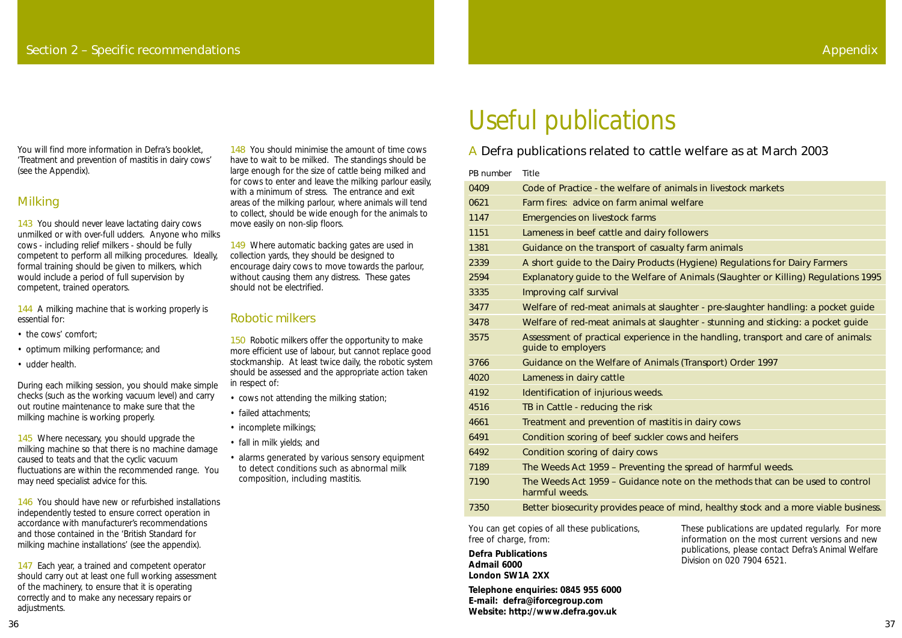# A Defra publications related to cattle welfare as at March 2003

| PB number | <b>Title</b>                                                       |
|-----------|--------------------------------------------------------------------|
| 0409      | Code of Practice - the welfare of animals in                       |
| 0621      | Farm fires: advice on farm animal welfare                          |
| 1147      | <b>Emergencies on livestock farms</b>                              |
| 1151      | Lameness in beef cattle and dairy followers                        |
| 1381      | Guidance on the transport of casualty farm                         |
| 2339      | A short quide to the Dairy Products (Hygier                        |
| 2594      | Explanatory guide to the Welfare of Anima                          |
| 3335      | Improving calf survival                                            |
| 3477      | Welfare of red-meat animals at slaughter -                         |
| 3478      | Welfare of red-meat animals at slaughter -                         |
| 3575      | Assessment of practical experience in the ha<br>quide to employers |
| 3766      | Guidance on the Welfare of Animals (Trans                          |
| 4020      | Lameness in dairy cattle                                           |
| 4192      | Identification of injurious weeds.                                 |
| 4516      | TB in Cattle - reducing the risk                                   |
| 4661      | Treatment and prevention of mastitis in dai                        |
| 6491      | Condition scoring of beef suckler cows and                         |
| 6492      | Condition scoring of dairy cows                                    |
| 7189      | The Weeds Act 1959 - Preventing the sprea                          |
| 7190      | The Weeds Act 1959 - Guidance note on th<br>harmful weeds.         |
| 7350      | Better biosecurity provides peace of mind I                        |

143 You should never leave lactating dairy cows unmilked or with over-full udders. Anyone who milks cows - including relief milkers - should be fully competent to perform all milking procedures. Ideally, formal training should be given to milkers, which would include a period of full supervision by competent, trained operators.

144 A milking machine that is working properly is essential for:

- the cows' comfort:
- optimum milking performance; and
- udder health.

145 Where necessary, you should upgrade the milking machine so that there is no machine damage caused to teats and that the cyclic vacuum fluctuations are within the recommended range. You may need specialist advice for this.

# Useful publications

mals in livestock markets

y farm animals

Hygiene) Regulations for Dairy Farmers

Animals (Slaughter or Killing) Regulations 1995

hter - pre-slaughter handling: a pocket guide After - stunning and sticking: a pocket guide the handling, transport and care of animals:

(Transport) Order 1997

in dairy cows is and heifers

spread of harmful weeds. on the methods that can be used to control

Better biosecurity provides peace of mind, healthy stock and a more viable business.

147 Each year, a trained and competent operator should carry out at least one full working assessment of the machinery, to ensure that it is operating correctly and to make any necessary repairs or adjustments.

You will find more information in Defra's booklet, 'Treatment and prevention of mastitis in dairy cows' (see the Appendix).

# Milking

149 Where automatic backing gates are used in collection yards, they should be designed to encourage dairy cows to move towards the parlour, without causing them any distress. These gates should not be electrified.

150 Robotic milkers offer the opportunity to make more efficient use of labour, but cannot replace good stockmanship. At least twice daily, the robotic system should be assessed and the appropriate action taken in respect of:

During each milking session, you should make simple checks (such as the working vacuum level) and carry out routine maintenance to make sure that the milking machine is working properly.

146 You should have new or refurbished installations independently tested to ensure correct operation in accordance with manufacturer's recommendations and those contained in the 'British Standard for milking machine installations' (see the appendix).

148 You should minimise the amount of time cows have to wait to be milked. The standings should be large enough for the size of cattle being milked and for cows to enter and leave the milking parlour easily, with a minimum of stress. The entrance and exit areas of the milking parlour, where animals will tend to collect, should be wide enough for the animals to move easily on non-slip floors.

# Robotic milkers

- cows not attending the milking station;
- failed attachments;
- incomplete milkings;
- fall in milk yields; and
- alarms generated by various sensory equipment to detect conditions such as abnormal milk composition, including mastitis.

You can get copies of all these publications, free of charge, from:

**Defra Publications Admail 6000 London SW1A 2XX**

**Telephone enquiries: 0845 955 6000 E-mail: defra@iforcegroup.com Website: http://www.defra.gov.uk**

These publications are updated regularly. For more information on the most current versions and new publications, please contact Defra's Animal Welfare Division on 020 7904 6521.